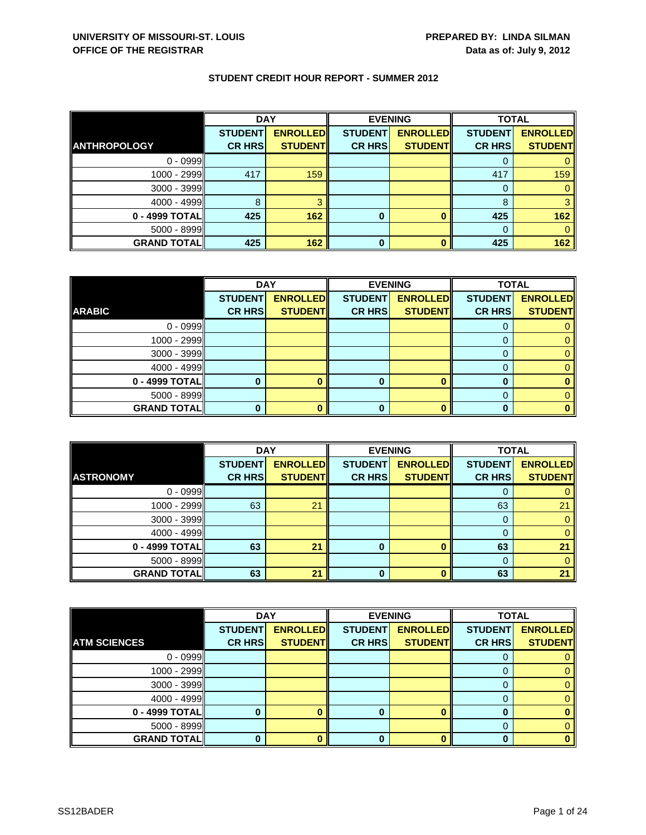|                     | <b>DAY</b>     |                 |                | <b>EVENING</b>  | <b>TOTAL</b>   |                 |
|---------------------|----------------|-----------------|----------------|-----------------|----------------|-----------------|
|                     | <b>STUDENT</b> | <b>ENROLLED</b> | <b>STUDENT</b> | <b>ENROLLED</b> | <b>STUDENT</b> | <b>ENROLLED</b> |
| <b>ANTHROPOLOGY</b> | <b>CR HRS</b>  | <b>STUDENT</b>  | <b>CR HRS</b>  | <b>STUDENT</b>  | <b>CR HRS</b>  | <b>STUDENT</b>  |
| $0 - 0999$          |                |                 |                |                 |                |                 |
| 1000 - 2999         | 417            | 159             |                |                 | 417            | 159             |
| $3000 - 3999$       |                |                 |                |                 | 0              |                 |
| $4000 - 4999$       | 8              |                 |                |                 | 8              |                 |
| 0 - 4999 TOTAL      | 425            | 162             | 0              |                 | 425            | 162             |
| $5000 - 8999$       |                |                 |                |                 | $\Omega$       |                 |
| <b>GRAND TOTAL</b>  | 425            | 162             | 0              |                 | 425            | 162             |

|                    | <b>DAY</b>     |                 | <b>EVENING</b> |                 | <b>TOTAL</b>   |                 |
|--------------------|----------------|-----------------|----------------|-----------------|----------------|-----------------|
|                    | <b>STUDENT</b> | <b>ENROLLED</b> | <b>STUDENT</b> | <b>ENROLLED</b> | <b>STUDENT</b> | <b>ENROLLED</b> |
| <b>ARABIC</b>      | <b>CR HRS</b>  | <b>STUDENT</b>  | <b>CR HRS</b>  | <b>STUDENT</b>  | <b>CR HRS</b>  | <b>STUDENT</b>  |
| $0 - 0999$         |                |                 |                |                 |                |                 |
| $1000 - 2999$      |                |                 |                |                 |                |                 |
| $3000 - 3999$      |                |                 |                |                 | 0              |                 |
| $4000 - 4999$      |                |                 |                |                 |                |                 |
| 0 - 4999 TOTAL     |                |                 | 0              | $\mathbf{0}$    | O              |                 |
| $5000 - 8999$      |                |                 |                |                 | 0              |                 |
| <b>GRAND TOTAL</b> |                |                 |                | n               |                |                 |

|                    | <b>DAY</b>     |                 | <b>EVENING</b> |                 | <b>TOTAL</b>   |                 |
|--------------------|----------------|-----------------|----------------|-----------------|----------------|-----------------|
|                    | <b>STUDENT</b> | <b>ENROLLED</b> | <b>STUDENT</b> | <b>ENROLLED</b> | <b>STUDENT</b> | <b>ENROLLED</b> |
| <b>ASTRONOMY</b>   | <b>CR HRS</b>  | <b>STUDENT</b>  | <b>CR HRS</b>  | <b>STUDENT</b>  | <b>CR HRS</b>  | <b>STUDENT</b>  |
| $0 - 0999$         |                |                 |                |                 |                |                 |
| $1000 - 2999$      | 63             | 21              |                |                 | 63             | 21              |
| $3000 - 3999$      |                |                 |                |                 |                |                 |
| $4000 - 4999$      |                |                 |                |                 |                |                 |
| $0 - 4999$ TOTAL   | 63             | 21              | 0              |                 | 63             | 21              |
| $5000 - 8999$      |                |                 |                |                 |                |                 |
| <b>GRAND TOTAL</b> | 63             | 21              | 0              |                 | 63             | 21              |

|                     | <b>DAY</b>     |                 | <b>EVENING</b> |                 | <b>TOTAL</b>   |                 |
|---------------------|----------------|-----------------|----------------|-----------------|----------------|-----------------|
|                     | <b>STUDENT</b> | <b>ENROLLED</b> | <b>STUDENT</b> | <b>ENROLLED</b> | <b>STUDENT</b> | <b>ENROLLED</b> |
| <b>ATM SCIENCES</b> | <b>CR HRS</b>  | <b>STUDENT</b>  | <b>CR HRS</b>  | <b>STUDENT</b>  | <b>CR HRS</b>  | <b>STUDENT</b>  |
| $0 - 0999$          |                |                 |                |                 |                |                 |
| 1000 - 2999         |                |                 |                |                 |                |                 |
| 3000 - 3999         |                |                 |                |                 |                |                 |
| $4000 - 4999$       |                |                 |                |                 |                |                 |
| 0 - 4999 TOTAL      |                |                 | 0              |                 |                |                 |
| 5000 - 8999         |                |                 |                |                 |                |                 |
| <b>GRAND TOTAL</b>  |                |                 | 0              |                 |                |                 |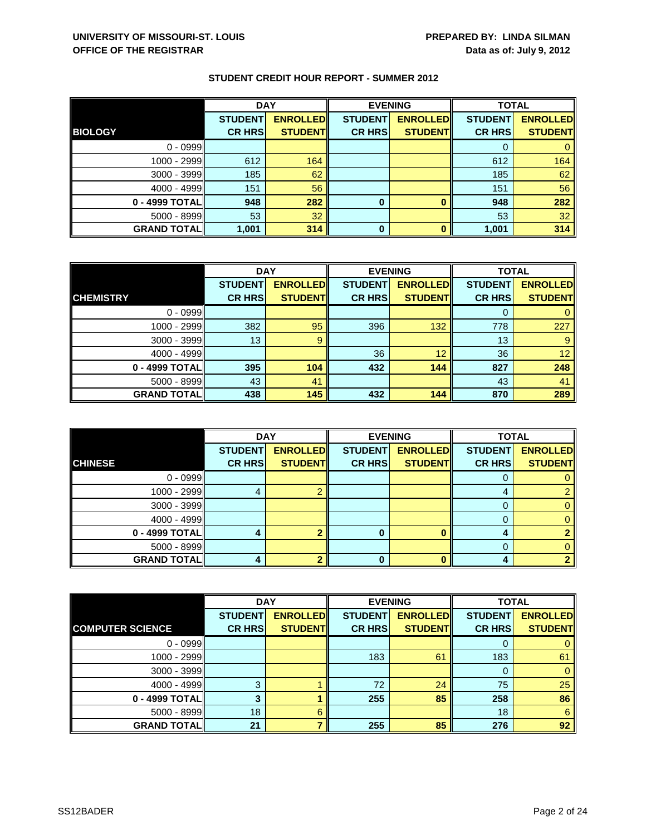|                    | <b>DAY</b>     |                 | <b>EVENING</b> |                 | <b>TOTAL</b>   |                 |
|--------------------|----------------|-----------------|----------------|-----------------|----------------|-----------------|
|                    | <b>STUDENT</b> | <b>ENROLLED</b> | <b>STUDENT</b> | <b>ENROLLED</b> | <b>STUDENT</b> | <b>ENROLLED</b> |
| <b>BIOLOGY</b>     | <b>CR HRS</b>  | <b>STUDENT</b>  | <b>CR HRS</b>  | <b>STUDENT</b>  | <b>CR HRS</b>  | <b>STUDENT</b>  |
| $0 - 0999$         |                |                 |                |                 |                |                 |
| 1000 - 2999II      | 612            | 164             |                |                 | 612            | 164             |
| 3000 - 3999        | 185            | 62              |                |                 | 185            | 62              |
| $4000 - 4999$      | 151            | 56              |                |                 | 151            | 56              |
| 0 - 4999 TOTAL     | 948            | 282             | 0              |                 | 948            | 282             |
| 5000 - 8999        | 53             | 32              |                |                 | 53             | 32              |
| <b>GRAND TOTAL</b> | 1,001          | 314             | 0              |                 | 1,001          | 314             |

|                    | <b>DAY</b>     |                 | <b>EVENING</b> |                 | <b>TOTAL</b>   |                 |
|--------------------|----------------|-----------------|----------------|-----------------|----------------|-----------------|
|                    | <b>STUDENT</b> | <b>ENROLLED</b> | <b>STUDENT</b> | <b>ENROLLED</b> | <b>STUDENT</b> | <b>ENROLLED</b> |
| <b>CHEMISTRY</b>   | <b>CR HRS</b>  | <b>STUDENT</b>  | <b>CR HRS</b>  | <b>STUDENT</b>  | <b>CR HRS</b>  | <b>STUDENT</b>  |
| $0 - 0999$         |                |                 |                |                 |                |                 |
| 1000 - 2999        | 382            | 95              | 396            | 132             | 778            | 227             |
| $3000 - 3999$      | 13             | 9               |                |                 | 13             | 9               |
| $4000 - 4999$      |                |                 | 36             | 12              | 36             | 12 <sup>2</sup> |
| 0 - 4999 TOTAL     | 395            | 104             | 432            | 144             | 827            | 248             |
| $5000 - 8999$      | 43             | 41              |                |                 | 43             | 41              |
| <b>GRAND TOTAL</b> | 438            | 145             | 432            | 144             | 870            | 289             |

|                    | <b>DAY</b>     |                 |                | <b>EVENING</b>  | <b>TOTAL</b>   |                 |
|--------------------|----------------|-----------------|----------------|-----------------|----------------|-----------------|
|                    | <b>STUDENT</b> | <b>ENROLLED</b> | <b>STUDENT</b> | <b>ENROLLED</b> | <b>STUDENT</b> | <b>ENROLLED</b> |
| <b>CHINESE</b>     | <b>CR HRS</b>  | <b>STUDENT</b>  | <b>CR HRS</b>  | <b>STUDENT</b>  | <b>CR HRS</b>  | <b>STUDENT</b>  |
| $0 - 0999$         |                |                 |                |                 | O              |                 |
| $1000 - 2999$      |                |                 |                |                 | 4              |                 |
| $3000 - 3999$      |                |                 |                |                 |                |                 |
| $4000 - 4999$      |                |                 |                |                 | 0              |                 |
| 0 - 4999 TOTAL     |                |                 |                |                 | 4              |                 |
| $5000 - 8999$      |                |                 |                |                 |                |                 |
| <b>GRAND TOTAL</b> |                |                 | 0              |                 | 4              |                 |

|                         | <b>DAY</b>     |                 |                | <b>EVENING</b>  | <b>TOTAL</b>   |                 |
|-------------------------|----------------|-----------------|----------------|-----------------|----------------|-----------------|
|                         | <b>STUDENT</b> | <b>ENROLLED</b> | <b>STUDENT</b> | <b>ENROLLED</b> | <b>STUDENT</b> | <b>ENROLLED</b> |
| <b>COMPUTER SCIENCE</b> | <b>CR HRS</b>  | <b>STUDENT</b>  | <b>CR HRS</b>  | <b>STUDENT</b>  | <b>CR HRS</b>  | <b>STUDENT</b>  |
| $0 - 0999$              |                |                 |                |                 |                |                 |
| 1000 - 2999             |                |                 | 183            | 61              | 183            | 61              |
| $3000 - 3999$           |                |                 |                |                 | 0              | $\mathbf{0}$    |
| $4000 - 4999$           | 3              |                 | 72             | 24              | 75             | 25              |
| $0 - 4999$ TOTAL        |                |                 | 255            | 85              | 258            | 86              |
| $5000 - 8999$           | 18             | 6               |                |                 | 18             | 6               |
| <b>GRAND TOTAL</b>      | 21             |                 | 255            | 85              | 276            | 92              |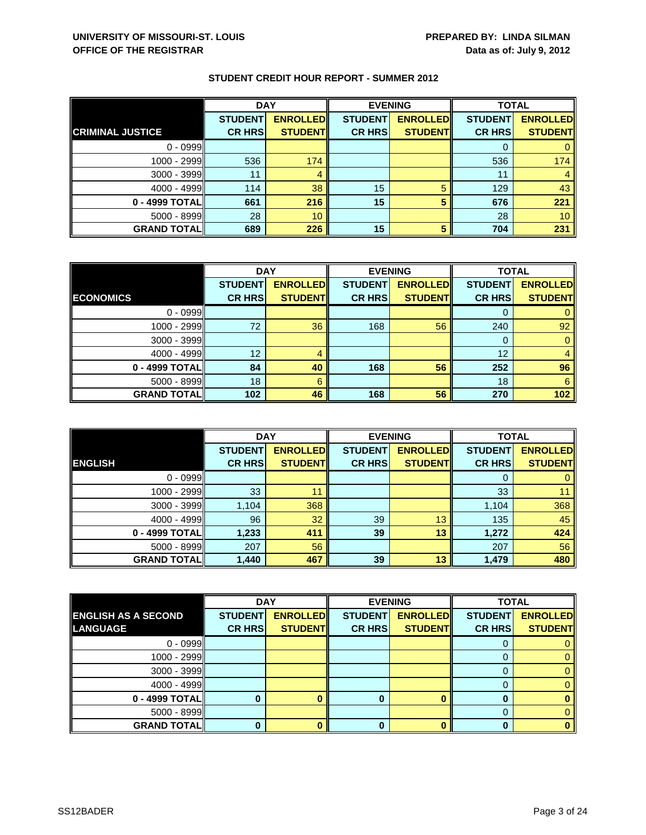|                         | <b>DAY</b>     |                 | <b>EVENING</b> |                 | <b>TOTAL</b>   |                 |
|-------------------------|----------------|-----------------|----------------|-----------------|----------------|-----------------|
|                         | <b>STUDENT</b> | <b>ENROLLED</b> | <b>STUDENT</b> | <b>ENROLLED</b> | <b>STUDENT</b> | <b>ENROLLED</b> |
| <b>CRIMINAL JUSTICE</b> | <b>CR HRS</b>  | <b>STUDENT</b>  | <b>CR HRS</b>  | <b>STUDENT</b>  | <b>CR HRS</b>  | <b>STUDENT</b>  |
| $0 - 0999$              |                |                 |                |                 |                |                 |
| 1000 - 2999             | 536            | 174             |                |                 | 536            | 174             |
| $3000 - 3999$           | 11             | 4               |                |                 | 11             |                 |
| $4000 - 4999$           | 114            | 38              | 15             | 5               | 129            | 43              |
| 0 - 4999 TOTALI         | 661            | 216             | 15             | 5               | 676            | 221             |
| $5000 - 8999$           | 28             | 10              |                |                 | 28             | 10 <sup>°</sup> |
| <b>GRAND TOTAL</b>      | 689            | 226             | 15             |                 | 704            | 231             |

|                    | <b>DAY</b>     |                 | <b>EVENING</b> |                 | <b>TOTAL</b>   |                 |
|--------------------|----------------|-----------------|----------------|-----------------|----------------|-----------------|
|                    | <b>STUDENT</b> | <b>ENROLLED</b> | <b>STUDENT</b> | <b>ENROLLED</b> | <b>STUDENT</b> | <b>ENROLLED</b> |
| <b>ECONOMICS</b>   | <b>CR HRS</b>  | <b>STUDENT</b>  | <b>CR HRS</b>  | <b>STUDENT</b>  | <b>CR HRS</b>  | <b>STUDENT</b>  |
| $0 - 0999$         |                |                 |                |                 |                |                 |
| $1000 - 2999$      | 72             | 36              | 168            | 56              | 240            | 92              |
| $3000 - 3999$      |                |                 |                |                 | O              |                 |
| $4000 - 4999$      | 12             | 4               |                |                 | 12             |                 |
| 0 - 4999 TOTAL     | 84             | 40              | 168            | 56              | 252            | 96              |
| $5000 - 8999$      | 18             | 6               |                |                 | 18             | 6               |
| <b>GRAND TOTAL</b> | 102            | 46              | 168            | 56              | 270            | 102             |

|                    | <b>DAY</b>     |                 |                | <b>EVENING</b>  | <b>TOTAL</b>   |                 |
|--------------------|----------------|-----------------|----------------|-----------------|----------------|-----------------|
|                    | <b>STUDENT</b> | <b>ENROLLED</b> | <b>STUDENT</b> | <b>ENROLLED</b> | <b>STUDENT</b> | <b>ENROLLED</b> |
| <b>ENGLISH</b>     | <b>CR HRS</b>  | <b>STUDENT</b>  | <b>CR HRS</b>  | <b>STUDENT</b>  | <b>CR HRS</b>  | <b>STUDENT</b>  |
| $0 - 0999$         |                |                 |                |                 | O              |                 |
| 1000 - 2999        | 33             | 11              |                |                 | 33             |                 |
| 3000 - 3999        | 1,104          | 368             |                |                 | 1,104          | 368             |
| $4000 - 4999$      | 96             | 32              | 39             | 13              | 135            | 45              |
| 0 - 4999 TOTAL     | 1,233          | 411             | 39             | 13              | 1,272          | 424             |
| $5000 - 8999$      | 207            | 56              |                |                 | 207            | 56              |
| <b>GRAND TOTAL</b> | 1,440          | 467             | 39             | 13              | 1,479          | 480             |

|                            |                | <b>DAY</b>      |                | <b>EVENING</b>  | <b>TOTAL</b>   |                 |
|----------------------------|----------------|-----------------|----------------|-----------------|----------------|-----------------|
| <b>ENGLISH AS A SECOND</b> | <b>STUDENT</b> | <b>ENROLLED</b> | <b>STUDENT</b> | <b>ENROLLED</b> | <b>STUDENT</b> | <b>ENROLLED</b> |
| <b>LANGUAGE</b>            | <b>CR HRS</b>  | <b>STUDENT</b>  | <b>CR HRS</b>  | <b>STUDENT</b>  | <b>CR HRS</b>  | <b>STUDENT</b>  |
| $0 - 0999$                 |                |                 |                |                 |                |                 |
| 1000 - 2999                |                |                 |                |                 |                | 0               |
| $3000 - 3999$              |                |                 |                |                 | O              | 0.              |
| $4000 - 4999$              |                |                 |                |                 |                |                 |
| 0 - 4999 TOTAL             |                |                 | 0              |                 |                |                 |
| $5000 - 8999$              |                |                 |                |                 | 0              |                 |
| <b>GRAND TOTAL</b>         |                |                 | ŋ              |                 |                |                 |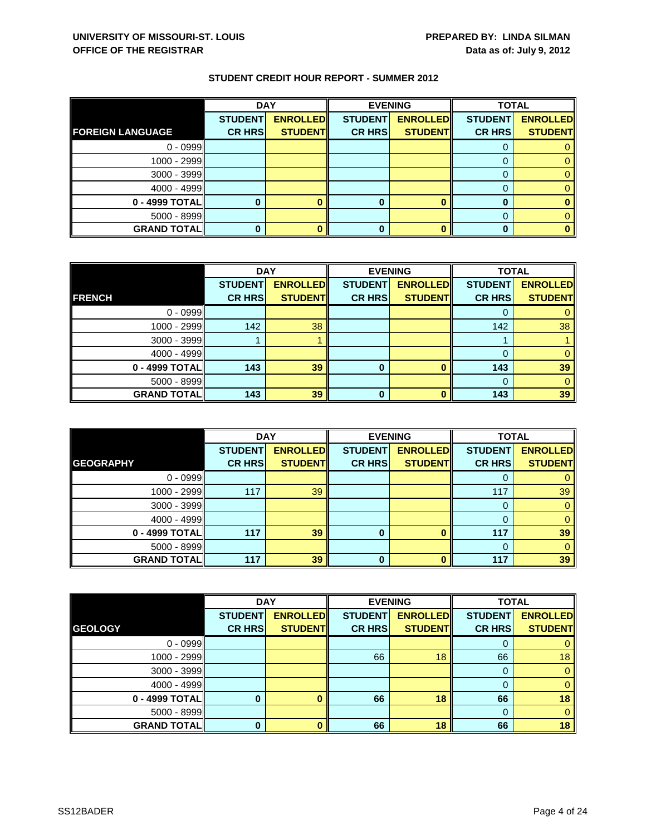|                         | <b>DAY</b>     |                 | <b>EVENING</b> |                 | <b>TOTAL</b>   |                 |
|-------------------------|----------------|-----------------|----------------|-----------------|----------------|-----------------|
|                         | <b>STUDENT</b> | <b>ENROLLED</b> | <b>STUDENT</b> | <b>ENROLLED</b> | <b>STUDENT</b> | <b>ENROLLED</b> |
| <b>FOREIGN LANGUAGE</b> | <b>CR HRS</b>  | <b>STUDENT</b>  | <b>CR HRS</b>  | <b>STUDENT</b>  | <b>CR HRS</b>  | <b>STUDENT</b>  |
| $0 - 0999$              |                |                 |                |                 |                |                 |
| 1000 - 2999             |                |                 |                |                 |                |                 |
| $3000 - 3999$           |                |                 |                |                 |                |                 |
| $4000 - 4999$           |                |                 |                |                 |                |                 |
| 0 - 4999 TOTAL          |                |                 | 0              |                 |                |                 |
| $5000 - 8999$           |                |                 |                |                 |                |                 |
| <b>GRAND TOTAL</b>      |                |                 | 0              |                 |                |                 |

|                    | <b>DAY</b>     |                 |                | <b>EVENING</b>  | <b>TOTAL</b>   |                 |
|--------------------|----------------|-----------------|----------------|-----------------|----------------|-----------------|
|                    | <b>STUDENT</b> | <b>ENROLLED</b> | <b>STUDENT</b> | <b>ENROLLED</b> | <b>STUDENT</b> | <b>ENROLLED</b> |
| <b>FRENCH</b>      | <b>CR HRS</b>  | <b>STUDENT</b>  | <b>CR HRS</b>  | <b>STUDENT</b>  | <b>CR HRS</b>  | <b>STUDENT</b>  |
| $0 - 0999$         |                |                 |                |                 |                |                 |
| 1000 - 2999        | 142            | 38              |                |                 | 142            | 38              |
| 3000 - 3999        |                |                 |                |                 |                |                 |
| $4000 - 4999$      |                |                 |                |                 |                |                 |
| 0 - 4999 TOTAL     | 143            | 39              | 0              |                 | 143            | 39              |
| $5000 - 8999$      |                |                 |                |                 |                |                 |
| <b>GRAND TOTAL</b> | 143            | 39              | ŋ              |                 | 143            | 39              |

|                    | <b>DAY</b>                      |                                   | <b>EVENING</b>                  |                                   | <b>TOTAL</b>                    |                                   |
|--------------------|---------------------------------|-----------------------------------|---------------------------------|-----------------------------------|---------------------------------|-----------------------------------|
| <b>GEOGRAPHY</b>   | <b>STUDENT</b><br><b>CR HRS</b> | <b>ENROLLED</b><br><b>STUDENT</b> | <b>STUDENT</b><br><b>CR HRS</b> | <b>ENROLLED</b><br><b>STUDENT</b> | <b>STUDENT</b><br><b>CR HRS</b> | <b>ENROLLED</b><br><b>STUDENT</b> |
| $0 - 0999$         |                                 |                                   |                                 |                                   | O                               |                                   |
| 1000 - 2999        | 117                             | 39                                |                                 |                                   | 117                             | 39                                |
| $3000 - 3999$      |                                 |                                   |                                 |                                   | 0                               | 0                                 |
| $4000 - 4999$      |                                 |                                   |                                 |                                   |                                 |                                   |
| 0 - 4999 TOTAL     | 117                             | 39                                | 0                               | n                                 | 117                             | 39                                |
| $5000 - 8999$      |                                 |                                   |                                 |                                   | $\Omega$                        | 0                                 |
| <b>GRAND TOTAL</b> | 117                             | 39                                | 0                               |                                   | 117                             | 39                                |

|                    | <b>DAY</b>     |                 | <b>EVENING</b> |                 | <b>TOTAL</b>   |                 |
|--------------------|----------------|-----------------|----------------|-----------------|----------------|-----------------|
|                    | <b>STUDENT</b> | <b>ENROLLED</b> | <b>STUDENT</b> | <b>ENROLLED</b> | <b>STUDENT</b> | <b>ENROLLED</b> |
| <b>GEOLOGY</b>     | <b>CR HRS</b>  | <b>STUDENT</b>  | <b>CR HRS</b>  | <b>STUDENT</b>  | <b>CR HRS</b>  | <b>STUDENT</b>  |
| $0 - 0999$         |                |                 |                |                 | 0              | 0               |
| 1000 - 2999        |                |                 | 66             | 18              | 66             | 18              |
| $3000 - 3999$      |                |                 |                |                 | 0              | $\mathbf{0}$    |
| $4000 - 4999$      |                |                 |                |                 | 0              | $\mathbf{0}$    |
| 0 - 4999 TOTAL     |                |                 | 66             | 18              | 66             | 18              |
| $5000 - 8999$      |                |                 |                |                 | 0              | $\mathbf{0}$    |
| <b>GRAND TOTAL</b> | O              |                 | 66             | 18              | 66             | 18              |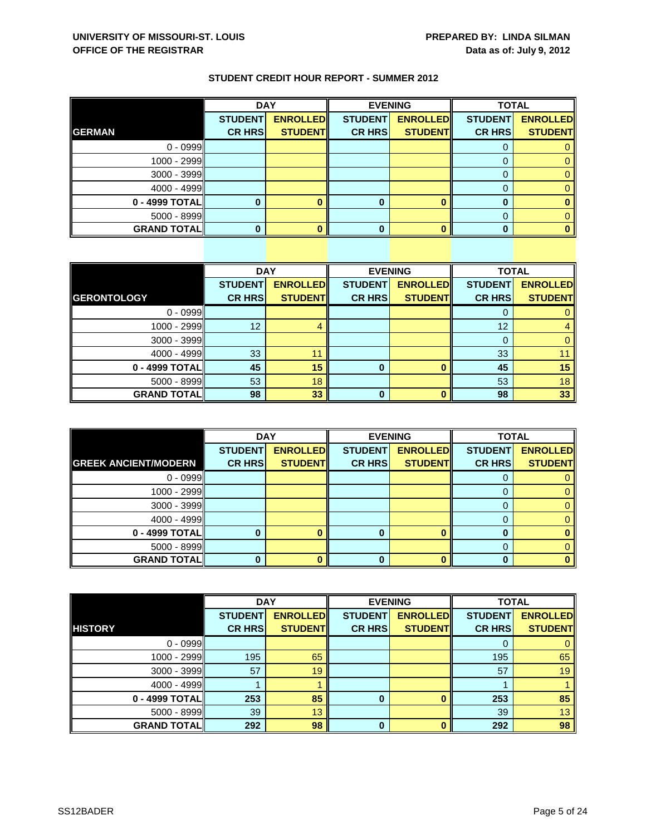| STUDENT CREDIT HOUR REPORT - SUMMER 2012 |
|------------------------------------------|
|------------------------------------------|

|                    | <b>DAY</b>     |                 | <b>EVENING</b> |                 | <b>TOTAL</b>   |                 |
|--------------------|----------------|-----------------|----------------|-----------------|----------------|-----------------|
|                    | <b>STUDENT</b> | <b>ENROLLED</b> | <b>STUDENT</b> | <b>ENROLLED</b> | <b>STUDENT</b> | <b>ENROLLED</b> |
| <b>GERMAN</b>      | <b>CR HRS</b>  | <b>STUDENT</b>  | <b>CR HRS</b>  | <b>STUDENT</b>  | <b>CR HRS</b>  | <b>STUDENT</b>  |
| $0 - 0999$         |                |                 |                |                 |                |                 |
| 1000 - 2999        |                |                 |                |                 |                |                 |
| 3000 - 3999        |                |                 |                |                 |                |                 |
| $4000 - 4999$      |                |                 |                |                 |                |                 |
| 0 - 4999 TOTAL     |                |                 |                |                 |                |                 |
| 5000 - 8999        |                |                 |                |                 |                |                 |
| <b>GRAND TOTAL</b> |                |                 |                |                 |                |                 |

|                    | <b>DAY</b>     |                 |                | <b>EVENING</b>  |                | <b>TOTAL</b>    |  |
|--------------------|----------------|-----------------|----------------|-----------------|----------------|-----------------|--|
|                    | <b>STUDENT</b> | <b>ENROLLED</b> | <b>STUDENT</b> | <b>ENROLLED</b> | <b>STUDENT</b> | <b>ENROLLED</b> |  |
| <b>GERONTOLOGY</b> | <b>CR HRS</b>  | <b>STUDENT</b>  | <b>CR HRS</b>  | <b>STUDENT</b>  | <b>CR HRS</b>  | <b>STUDENT</b>  |  |
| $0 - 0999$         |                |                 |                |                 | 0              | $\mathbf{0}$    |  |
| 1000 - 2999        | 12             | 4               |                |                 | 12             | $\overline{4}$  |  |
| $3000 - 3999$      |                |                 |                |                 | 0              | $\mathbf{0}$    |  |
| $4000 - 4999$      | 33             | 11              |                |                 | 33             | 11              |  |
| 0 - 4999 TOTAL     | 45             | 15              | 0              |                 | 45             | 15              |  |
| $5000 - 8999$      | 53             | 18              |                |                 | 53             | 18              |  |
| <b>GRAND TOTAL</b> | 98             | 33              | 0              |                 | 98             | 33 <sup>°</sup> |  |

|                             | <b>DAY</b>     |                 | <b>EVENING</b> |                 | <b>TOTAL</b>   |                 |
|-----------------------------|----------------|-----------------|----------------|-----------------|----------------|-----------------|
|                             | <b>STUDENT</b> | <b>ENROLLED</b> | <b>STUDENT</b> | <b>ENROLLED</b> | <b>STUDENT</b> | <b>ENROLLED</b> |
| <b>GREEK ANCIENT/MODERN</b> | <b>CR HRS</b>  | <b>STUDENT</b>  | <b>CR HRS</b>  | <b>STUDENT</b>  | <b>CR HRS</b>  | <b>STUDENT</b>  |
| $0 - 0999$                  |                |                 |                |                 |                |                 |
| 1000 - 2999                 |                |                 |                |                 |                |                 |
| $3000 - 3999$               |                |                 |                |                 |                |                 |
| $4000 - 4999$               |                |                 |                |                 |                |                 |
| 0 - 4999 TOTAL              |                |                 | ŋ              | n               | ŋ              |                 |
| 5000 - 8999                 |                |                 |                |                 |                |                 |
| <b>GRAND TOTAL</b>          |                |                 |                |                 |                |                 |

|                    | <b>DAY</b>     |                 | <b>EVENING</b> |                 | <b>TOTAL</b>   |                 |
|--------------------|----------------|-----------------|----------------|-----------------|----------------|-----------------|
|                    | <b>STUDENT</b> | <b>ENROLLED</b> | <b>STUDENT</b> | <b>ENROLLED</b> | <b>STUDENT</b> | <b>ENROLLED</b> |
| <b>HISTORY</b>     | <b>CR HRS</b>  | <b>STUDENT</b>  | <b>CR HRS</b>  | <b>STUDENT</b>  | <b>CR HRS</b>  | <b>STUDENT</b>  |
| $0 - 0999$         |                |                 |                |                 | 0              | 0               |
| 1000 - 2999        | 195            | 65              |                |                 | 195            | 65              |
| $3000 - 3999$      | 57             | 19              |                |                 | 57             | 19              |
| $4000 - 4999$      |                |                 |                |                 |                |                 |
| 0 - 4999 TOTAL     | 253            | 85              | $\bf{0}$       | $\Omega$        | 253            | 85              |
| $5000 - 8999$      | 39             | 13              |                |                 | 39             | 13              |
| <b>GRAND TOTAL</b> | 292            | 98              | 0              | O               | 292            | 98              |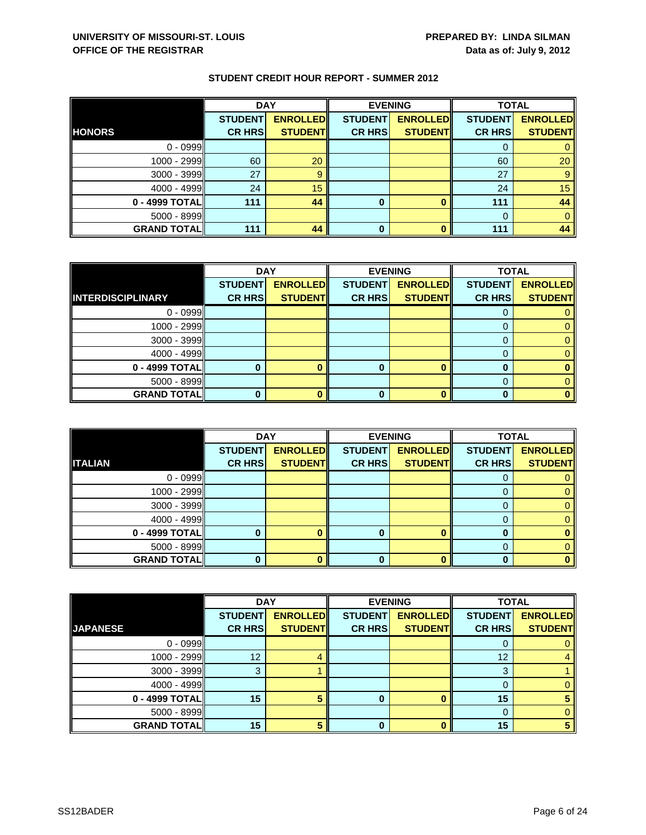|                    | <b>DAY</b>     |                 | <b>EVENING</b> |                 | <b>TOTAL</b>   |                 |
|--------------------|----------------|-----------------|----------------|-----------------|----------------|-----------------|
| <b>HONORS</b>      | <b>STUDENT</b> | <b>ENROLLED</b> | <b>STUDENT</b> | <b>ENROLLED</b> | <b>STUDENT</b> | <b>ENROLLED</b> |
|                    | <b>CR HRS</b>  | <b>STUDENT</b>  | <b>CR HRS</b>  | <b>STUDENT</b>  | <b>CR HRS</b>  | <b>STUDENT</b>  |
| $0 - 0999$         |                |                 |                |                 |                |                 |
| 1000 - 2999        | 60             | 20              |                |                 | 60             | 20              |
| 3000 - 3999        | 27             | 9               |                |                 | 27             |                 |
| $4000 - 4999$      | 24             | 15              |                |                 | 24             | 15              |
| 0 - 4999 TOTAL     | 111            | 44              | 0              |                 | 111            | 44              |
| 5000 - 8999        |                |                 |                |                 |                |                 |
| <b>GRAND TOTAL</b> | 111            | 44              | 0              |                 | 111            | 44              |

|                          | <b>DAY</b>     |                 | <b>EVENING</b> |                 | <b>TOTAL</b>   |                 |
|--------------------------|----------------|-----------------|----------------|-----------------|----------------|-----------------|
|                          | <b>STUDENT</b> | <b>ENROLLED</b> | <b>STUDENT</b> | <b>ENROLLED</b> | <b>STUDENT</b> | <b>ENROLLED</b> |
| <b>INTERDISCIPLINARY</b> | <b>CR HRS</b>  | <b>STUDENT</b>  | <b>CR HRS</b>  | <b>STUDENT</b>  | <b>CR HRS</b>  | <b>STUDENT</b>  |
| $0 - 0999$               |                |                 |                |                 |                |                 |
| 1000 - 2999              |                |                 |                |                 | O              |                 |
| $3000 - 3999$            |                |                 |                |                 |                |                 |
| 4000 - 4999              |                |                 |                |                 |                |                 |
| 0 - 4999 TOTAL           |                |                 | 0              |                 |                |                 |
| $5000 - 8999$            |                |                 |                |                 |                |                 |
| <b>GRAND TOTAL</b>       |                |                 |                |                 |                |                 |

|                    | <b>DAY</b>     |                 |                | <b>EVENING</b>  | <b>TOTAL</b>   |                 |
|--------------------|----------------|-----------------|----------------|-----------------|----------------|-----------------|
|                    | <b>STUDENT</b> | <b>ENROLLED</b> | <b>STUDENT</b> | <b>ENROLLED</b> | <b>STUDENT</b> | <b>ENROLLED</b> |
| <b>ITALIAN</b>     | <b>CR HRS</b>  | <b>STUDENT</b>  | <b>CR HRS</b>  | <b>STUDENT</b>  | <b>CR HRS</b>  | <b>STUDENT</b>  |
| $0 - 0999$         |                |                 |                |                 |                |                 |
| $1000 - 2999$      |                |                 |                |                 |                |                 |
| $3000 - 3999$      |                |                 |                |                 |                |                 |
| $4000 - 4999$      |                |                 |                |                 |                |                 |
| $0 - 4999$ TOTAL   |                |                 | 0              |                 |                |                 |
| $5000 - 8999$      |                |                 |                |                 |                |                 |
| <b>GRAND TOTAL</b> |                |                 | 0              |                 |                |                 |

|                    | <b>DAY</b>     |                 |                | <b>EVENING</b>  | <b>TOTAL</b>   |                 |
|--------------------|----------------|-----------------|----------------|-----------------|----------------|-----------------|
|                    | <b>STUDENT</b> | <b>ENROLLED</b> | <b>STUDENT</b> | <b>ENROLLED</b> | <b>STUDENT</b> | <b>ENROLLED</b> |
| <b>JAPANESE</b>    | <b>CR HRS</b>  | <b>STUDENT</b>  | <b>CR HRS</b>  | <b>STUDENT</b>  | <b>CR HRS</b>  | <b>STUDENT</b>  |
| $0 - 0999$         |                |                 |                |                 | 0              |                 |
| 1000 - 2999        | 12             |                 |                |                 | 12             | 4               |
| 3000 - 3999        | 3              |                 |                |                 | 3              |                 |
| $4000 - 4999$      |                |                 |                |                 | 0              | 0               |
| 0 - 4999 TOTAL     | 15             |                 | O              |                 | 15             |                 |
| $5000 - 8999$      |                |                 |                |                 | $\Omega$       | 0               |
| <b>GRAND TOTAL</b> | 15             | Б,              | ŋ              |                 | 15             | 5               |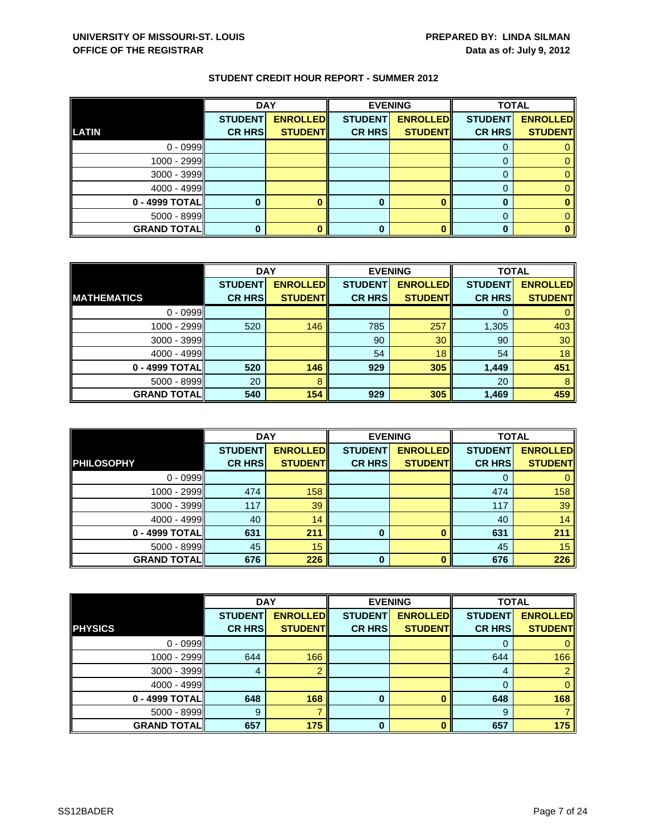|                    | <b>DAY</b>     |                 |                | <b>EVENING</b>  |                | <b>TOTAL</b>    |  |
|--------------------|----------------|-----------------|----------------|-----------------|----------------|-----------------|--|
|                    | <b>STUDENT</b> | <b>ENROLLED</b> | <b>STUDENT</b> | <b>ENROLLED</b> | <b>STUDENT</b> | <b>ENROLLED</b> |  |
| <b>LATIN</b>       | <b>CR HRS</b>  | <b>STUDENT</b>  | <b>CR HRS</b>  | <b>STUDENT</b>  | <b>CR HRS</b>  | <b>STUDENT</b>  |  |
| $0 - 0999$         |                |                 |                |                 |                |                 |  |
| 1000 - 2999        |                |                 |                |                 |                |                 |  |
| 3000 - 3999        |                |                 |                |                 |                |                 |  |
| $4000 - 4999$      |                |                 |                |                 |                |                 |  |
| 0 - 4999 TOTAL     |                |                 | 0              |                 |                |                 |  |
| $5000 - 8999$      |                |                 |                |                 |                |                 |  |
| <b>GRAND TOTAL</b> |                |                 |                |                 |                |                 |  |

|                    | <b>DAY</b>     |                 |                | <b>EVENING</b>  | <b>TOTAL</b>   |                 |
|--------------------|----------------|-----------------|----------------|-----------------|----------------|-----------------|
|                    | <b>STUDENT</b> | <b>ENROLLED</b> | <b>STUDENT</b> | <b>ENROLLED</b> | <b>STUDENT</b> | <b>ENROLLED</b> |
| <b>MATHEMATICS</b> | <b>CR HRS</b>  | <b>STUDENT</b>  | <b>CR HRS</b>  | <b>STUDENT</b>  | <b>CR HRS</b>  | <b>STUDENT</b>  |
| $0 - 0999$         |                |                 |                |                 |                |                 |
| 1000 - 2999        | 520            | 146             | 785            | 257             | 1,305          | 403             |
| $3000 - 3999$      |                |                 | 90             | 30              | 90             | 30              |
| $4000 - 4999$      |                |                 | 54             | 18              | 54             | 18              |
| 0 - 4999 TOTAL     | 520            | 146             | 929            | 305             | 1,449          | 451             |
| $5000 - 8999$      | 20             | 8               |                |                 | 20             | 8               |
| <b>GRAND TOTAL</b> | 540            | 154             | 929            | 305             | 1,469          | 459             |

|                     | <b>DAY</b>                      |                                   |                                 | <b>EVENING</b>                    | <b>TOTAL</b>                    |                                   |
|---------------------|---------------------------------|-----------------------------------|---------------------------------|-----------------------------------|---------------------------------|-----------------------------------|
| <b>PHILOSOPHY</b>   | <b>STUDENT</b><br><b>CR HRS</b> | <b>ENROLLED</b><br><b>STUDENT</b> | <b>STUDENT</b><br><b>CR HRS</b> | <b>ENROLLED</b><br><b>STUDENT</b> | <b>STUDENT</b><br><b>CR HRS</b> | <b>ENROLLED</b><br><b>STUDENT</b> |
|                     |                                 |                                   |                                 |                                   |                                 |                                   |
| $0 - 0999$          |                                 |                                   |                                 |                                   | O                               |                                   |
| 1000 - 2999         | 474                             | 158                               |                                 |                                   | 474                             | 158                               |
| 3000 - 3999         | 117                             | 39                                |                                 |                                   | 117                             | 39                                |
| $4000 - 4999$       | 40                              | 14                                |                                 |                                   | 40                              | 14                                |
| 0 - 4999 TOTAL      | 631                             | 211                               | 0                               | O                                 | 631                             | 211                               |
| $5000 - 8999$       | 45                              | 15                                |                                 |                                   | 45                              | 15                                |
| <b>GRAND TOTALI</b> | 676                             | 226                               | 0                               | $\bf{0}$                          | 676                             | 226                               |

|                    | <b>DAY</b>     |                 |                | <b>EVENING</b>  |                | <b>TOTAL</b>    |  |
|--------------------|----------------|-----------------|----------------|-----------------|----------------|-----------------|--|
|                    | <b>STUDENT</b> | <b>ENROLLED</b> | <b>STUDENT</b> | <b>ENROLLED</b> | <b>STUDENT</b> | <b>ENROLLED</b> |  |
| <b>PHYSICS</b>     | <b>CR HRS</b>  | <b>STUDENT</b>  | <b>CR HRS</b>  | <b>STUDENT</b>  | <b>CR HRS</b>  | <b>STUDENT</b>  |  |
| $0 - 0999$         |                |                 |                |                 | O              | 0               |  |
| 1000 - 2999        | 644            | 166             |                |                 | 644            | 166             |  |
| $3000 - 3999$      | 4              |                 |                |                 | 4              | $\overline{2}$  |  |
| $4000 - 4999$      |                |                 |                |                 | 0              | $\mathbf{0}$    |  |
| 0 - 4999 TOTAL     | 648            | 168             | 0              |                 | 648            | 168             |  |
| $5000 - 8999$      | 9              |                 |                |                 | -9             |                 |  |
| <b>GRAND TOTAL</b> | 657            | 175             | $\bf{0}$       | n               | 657            | 175             |  |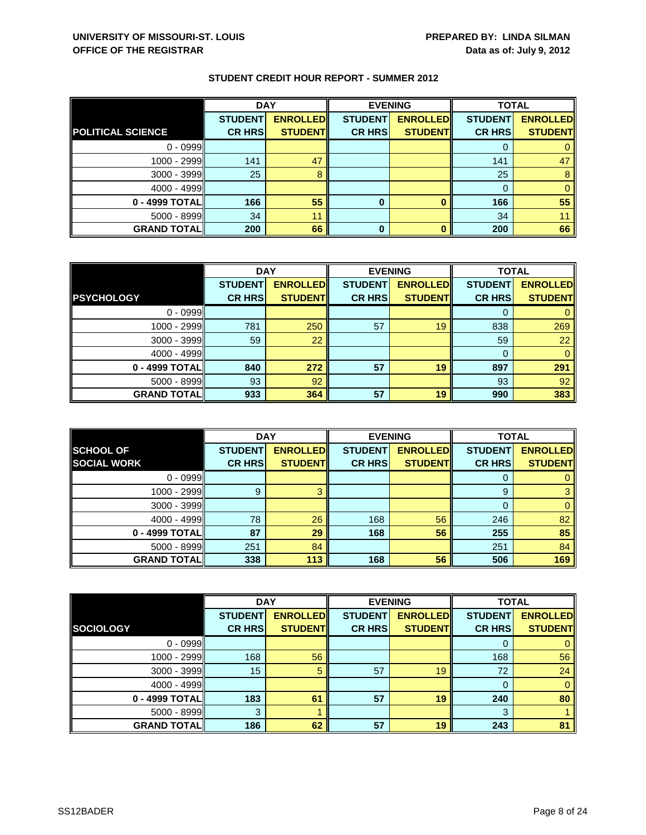|                          | <b>DAY</b>     |                 |                | <b>EVENING</b>  |                | <b>TOTAL</b>    |  |
|--------------------------|----------------|-----------------|----------------|-----------------|----------------|-----------------|--|
|                          | <b>STUDENT</b> | <b>ENROLLED</b> | <b>STUDENT</b> | <b>ENROLLED</b> | <b>STUDENT</b> | <b>ENROLLED</b> |  |
| <b>POLITICAL SCIENCE</b> | <b>CR HRS</b>  | <b>STUDENT</b>  | <b>CR HRS</b>  | <b>STUDENT</b>  | <b>CR HRS</b>  | <b>STUDENT</b>  |  |
| $0 - 0999$               |                |                 |                |                 |                |                 |  |
| $1000 - 2999$            | 141            | 47              |                |                 | 141            | 47              |  |
| $3000 - 3999$            | 25             |                 |                |                 | 25             | 8               |  |
| $4000 - 4999$            |                |                 |                |                 |                |                 |  |
| 0 - 4999 TOTAL           | 166            | 55              | $\bf{0}$       |                 | 166            | 55              |  |
| $5000 - 8999$            | 34             | 11              |                |                 | 34             |                 |  |
| <b>GRAND TOTAL</b>       | 200            | 66              | 0              |                 | 200            | 66              |  |

|                    | <b>DAY</b>     |                 | <b>EVENING</b> |                 | <b>TOTAL</b>   |                 |
|--------------------|----------------|-----------------|----------------|-----------------|----------------|-----------------|
|                    | <b>STUDENT</b> | <b>ENROLLED</b> | <b>STUDENT</b> | <b>ENROLLED</b> | <b>STUDENT</b> | <b>ENROLLED</b> |
| <b>PSYCHOLOGY</b>  | <b>CR HRS</b>  | <b>STUDENT</b>  | <b>CR HRS</b>  | <b>STUDENT</b>  | <b>CR HRS</b>  | <b>STUDENT</b>  |
| $0 - 0999$         |                |                 |                |                 |                |                 |
| 1000 - 2999        | 781            | 250             | 57             | 19              | 838            | 269             |
| $3000 - 3999$      | 59             | 22              |                |                 | 59             | $22^{\circ}$    |
| $4000 - 4999$      |                |                 |                |                 | $\Omega$       | 0               |
| 0 - 4999 TOTAL     | 840            | 272             | 57             | 19              | 897            | 291             |
| $5000 - 8999$      | 93             | 92              |                |                 | 93             | 92              |
| <b>GRAND TOTAL</b> | 933            | 364             | 57             | 19              | 990            | 383             |

|                     | <b>DAY</b>     |                 | <b>EVENING</b> |                 | <b>TOTAL</b>   |                 |
|---------------------|----------------|-----------------|----------------|-----------------|----------------|-----------------|
| <b>SCHOOL OF</b>    | <b>STUDENT</b> | <b>ENROLLED</b> | <b>STUDENT</b> | <b>ENROLLED</b> | <b>STUDENT</b> | <b>ENROLLED</b> |
| <b>SOCIAL WORK</b>  | <b>CR HRS</b>  | <b>STUDENT</b>  | <b>CR HRS</b>  | <b>STUDENT</b>  | <b>CR HRS</b>  | <b>STUDENT</b>  |
| $0 - 0999$          |                |                 |                |                 |                |                 |
| 1000 - 2999         | 9              |                 |                |                 | 9              |                 |
| $3000 - 3999$       |                |                 |                |                 |                | 0               |
| $4000 - 4999$       | 78             | 26              | 168            | 56              | 246            | 82              |
| 0 - 4999 TOTALI     | 87             | 29              | 168            | 56              | 255            | 85              |
| 5000 - 8999         | 251            | 84              |                |                 | 251            | 84              |
| <b>GRAND TOTALI</b> | 338            | 113             | 168            | 56              | 506            | 169             |

|                    | <b>DAY</b>     |                 | <b>EVENING</b> |                 | <b>TOTAL</b>   |                 |
|--------------------|----------------|-----------------|----------------|-----------------|----------------|-----------------|
|                    | <b>STUDENT</b> | <b>ENROLLED</b> | <b>STUDENT</b> | <b>ENROLLED</b> | <b>STUDENT</b> | <b>ENROLLED</b> |
| <b>SOCIOLOGY</b>   | <b>CR HRS</b>  | <b>STUDENT</b>  | <b>CR HRS</b>  | <b>STUDENT</b>  | <b>CR HRS</b>  | <b>STUDENT</b>  |
| $0 - 0999$         |                |                 |                |                 | 0              | $\mathbf{0}$    |
| 1000 - 2999        | 168            | 56              |                |                 | 168            | 56              |
| 3000 - 3999        | 15             | 5               | 57             | 19              | 72             | 24              |
| $4000 - 4999$      |                |                 |                |                 | 0              | $\mathbf{0}$    |
| 0 - 4999 TOTAL     | 183            | 61              | 57             | 19              | 240            | 80              |
| 5000 - 8999        | 3              |                 |                |                 | 3              |                 |
| <b>GRAND TOTAL</b> | 186            | 62              | 57             | 19              | 243            | 81              |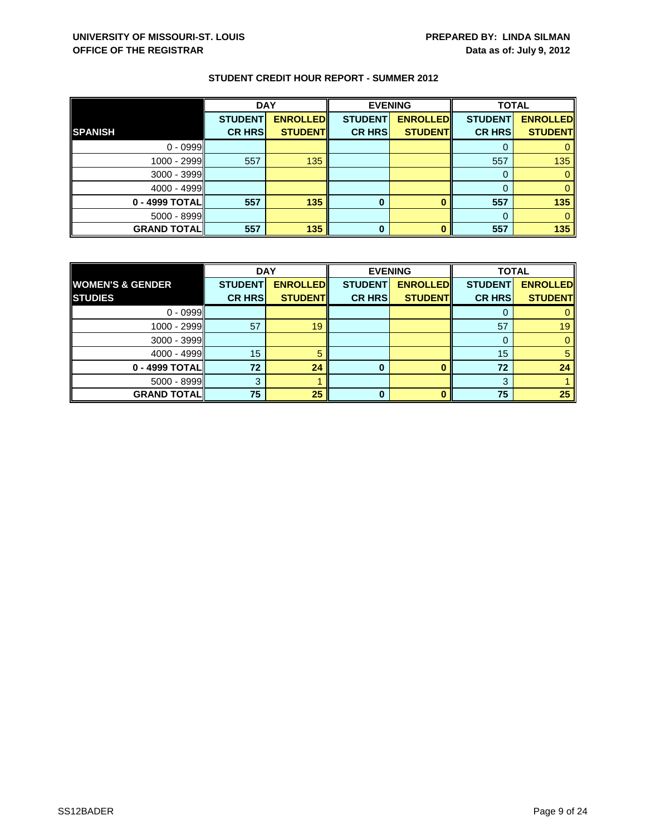|                    | <b>DAY</b>     |                 | <b>EVENING</b> |                 | <b>TOTAL</b>   |                 |
|--------------------|----------------|-----------------|----------------|-----------------|----------------|-----------------|
|                    | <b>STUDENT</b> | <b>ENROLLED</b> | <b>STUDENT</b> | <b>ENROLLED</b> | <b>STUDENT</b> | <b>ENROLLED</b> |
| <b>SPANISH</b>     | <b>CR HRS</b>  | <b>STUDENT</b>  | <b>CR HRS</b>  | <b>STUDENT</b>  | <b>CR HRS</b>  | <b>STUDENT</b>  |
| $0 - 0999$         |                |                 |                |                 |                |                 |
| 1000 - 2999        | 557            | 135             |                |                 | 557            | 135             |
| 3000 - 3999        |                |                 |                |                 | 0              |                 |
| $4000 - 4999$      |                |                 |                |                 |                |                 |
| 0 - 4999 TOTAL     | 557            | 135             | 0              |                 | 557            | 135             |
| 5000 - 8999        |                |                 |                |                 |                |                 |
| <b>GRAND TOTAL</b> | 557            | 135             | $\bf{0}$       |                 | 557            | 135             |

|                             | <b>DAY</b>     |                 | <b>EVENING</b> |                 | <b>TOTAL</b>   |                 |
|-----------------------------|----------------|-----------------|----------------|-----------------|----------------|-----------------|
| <b>WOMEN'S &amp; GENDER</b> | <b>STUDENT</b> | <b>ENROLLED</b> | <b>STUDENT</b> | <b>ENROLLED</b> | <b>STUDENT</b> | <b>ENROLLED</b> |
| <b>STUDIES</b>              | <b>CR HRS</b>  | <b>STUDENT</b>  | <b>CR HRS</b>  | <b>STUDENT</b>  | <b>CR HRS</b>  | <b>STUDENT</b>  |
| $0 - 0999$                  |                |                 |                |                 |                |                 |
| $1000 - 2999$               | 57             | 19              |                |                 | 57             | 19              |
| $3000 - 3999$               |                |                 |                |                 |                |                 |
| $4000 - 4999$               | 15             |                 |                |                 | 15             |                 |
| $0 - 4999$ TOTAL            | 72             | 24              | 0              |                 | 72             | 24              |
| $5000 - 8999$               |                |                 |                |                 | 3              |                 |
| <b>GRAND TOTAL</b>          | 75             | 25              | 0              |                 | 75             | 25              |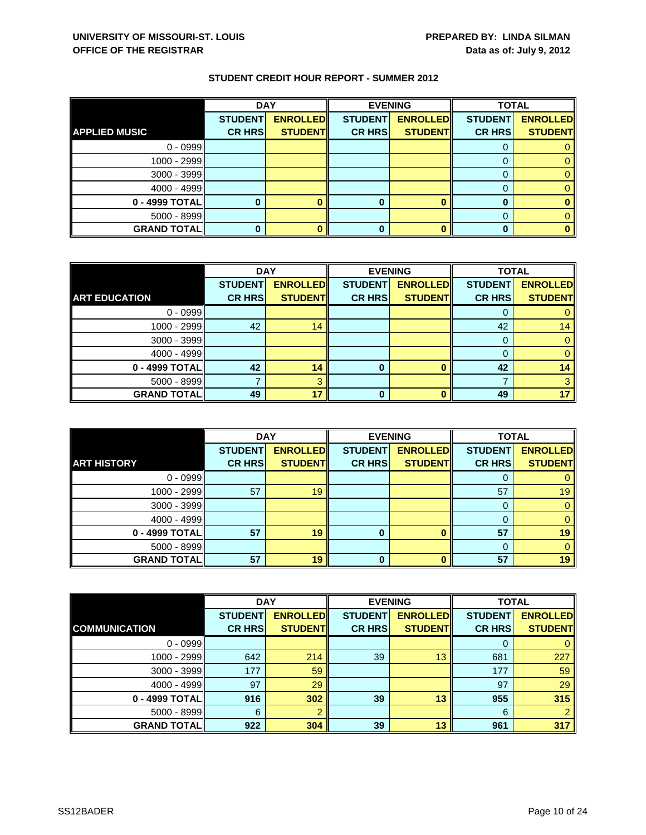|                      | <b>DAY</b>     |                 | <b>EVENING</b> |                 | <b>TOTAL</b>   |                 |
|----------------------|----------------|-----------------|----------------|-----------------|----------------|-----------------|
|                      | <b>STUDENT</b> | <b>ENROLLED</b> | <b>STUDENT</b> | <b>ENROLLED</b> | <b>STUDENT</b> | <b>ENROLLED</b> |
| <b>APPLIED MUSIC</b> | <b>CR HRS</b>  | <b>STUDENT</b>  | <b>CR HRS</b>  | <b>STUDENT</b>  | <b>CR HRS</b>  | <b>STUDENT</b>  |
| $0 - 0999$           |                |                 |                |                 |                |                 |
| 1000 - 2999          |                |                 |                |                 |                |                 |
| 3000 - 3999          |                |                 |                |                 |                |                 |
| $4000 - 4999$        |                |                 |                |                 |                |                 |
| 0 - 4999 TOTAL       |                |                 | 0              |                 |                |                 |
| 5000 - 8999          |                |                 |                |                 |                |                 |
| <b>GRAND TOTAL</b>   |                |                 |                |                 |                |                 |

|                      | <b>DAY</b>     |                 | <b>EVENING</b> |                 | <b>TOTAL</b>   |                 |
|----------------------|----------------|-----------------|----------------|-----------------|----------------|-----------------|
|                      | <b>STUDENT</b> | <b>ENROLLED</b> | <b>STUDENT</b> | <b>ENROLLED</b> | <b>STUDENT</b> | <b>ENROLLED</b> |
| <b>ART EDUCATION</b> | <b>CR HRS</b>  | <b>STUDENT</b>  | <b>CR HRS</b>  | <b>STUDENT</b>  | <b>CR HRS</b>  | <b>STUDENT</b>  |
| $0 - 0999$           |                |                 |                |                 |                |                 |
| 1000 - 2999          | 42             | 14              |                |                 | 42             | 14              |
| $3000 - 3999$        |                |                 |                |                 | 0              |                 |
| $4000 - 4999$        |                |                 |                |                 |                |                 |
| 0 - 4999 TOTAL       | 42             | 14              | 0              | $\Omega$        | 42             | 14              |
| $5000 - 8999$        |                | 2               |                |                 |                |                 |
| <b>GRAND TOTAL</b>   | 49             | 17              |                | n               | 49             | 17              |

|                    | <b>DAY</b>                      |                                   |                                 | <b>EVENING</b>                    | <b>TOTAL</b>                    |                                   |
|--------------------|---------------------------------|-----------------------------------|---------------------------------|-----------------------------------|---------------------------------|-----------------------------------|
| <b>ART HISTORY</b> | <b>STUDENT</b><br><b>CR HRS</b> | <b>ENROLLED</b><br><b>STUDENT</b> | <b>STUDENT</b><br><b>CR HRS</b> | <b>ENROLLED</b><br><b>STUDENT</b> | <b>STUDENT</b><br><b>CR HRS</b> | <b>ENROLLED</b><br><b>STUDENT</b> |
| $0 - 0999$         |                                 |                                   |                                 |                                   |                                 |                                   |
|                    |                                 |                                   |                                 |                                   | O                               |                                   |
| 1000 - 2999        | 57                              | 19                                |                                 |                                   | 57                              | 19                                |
| $3000 - 3999$      |                                 |                                   |                                 |                                   | 0                               |                                   |
| $4000 - 4999$      |                                 |                                   |                                 |                                   | 0                               |                                   |
| 0 - 4999 TOTAL     | 57                              | 19                                | 0                               | n                                 | 57                              | 19                                |
| $5000 - 8999$      |                                 |                                   |                                 |                                   | $\Omega$                        |                                   |
| <b>GRAND TOTAL</b> | 57                              | 19                                | 0                               |                                   | 57                              | 19                                |

|                      | <b>DAY</b>     |                 | <b>EVENING</b> |                 | <b>TOTAL</b>   |                 |
|----------------------|----------------|-----------------|----------------|-----------------|----------------|-----------------|
|                      | <b>STUDENT</b> | <b>ENROLLED</b> | <b>STUDENT</b> | <b>ENROLLED</b> | <b>STUDENT</b> | <b>ENROLLED</b> |
| <b>COMMUNICATION</b> | <b>CR HRS</b>  | <b>STUDENT</b>  | <b>CR HRS</b>  | <b>STUDENT</b>  | <b>CR HRS</b>  | <b>STUDENT</b>  |
| $0 - 0999$           |                |                 |                |                 | O              | 0               |
| 1000 - 2999          | 642            | 214             | 39             | 13              | 681            | 227             |
| $3000 - 3999$        | 177            | 59              |                |                 | 177            | 59              |
| $4000 - 4999$        | 97             | 29              |                |                 | 97             | 29              |
| 0 - 4999 TOTAL       | 916            | 302             | 39             | 13              | 955            | 315             |
| $5000 - 8999$        | 6              | າ               |                |                 | 6              | $\overline{2}$  |
| <b>GRAND TOTAL</b>   | 922            | 304             | 39             | 13              | 961            | 317             |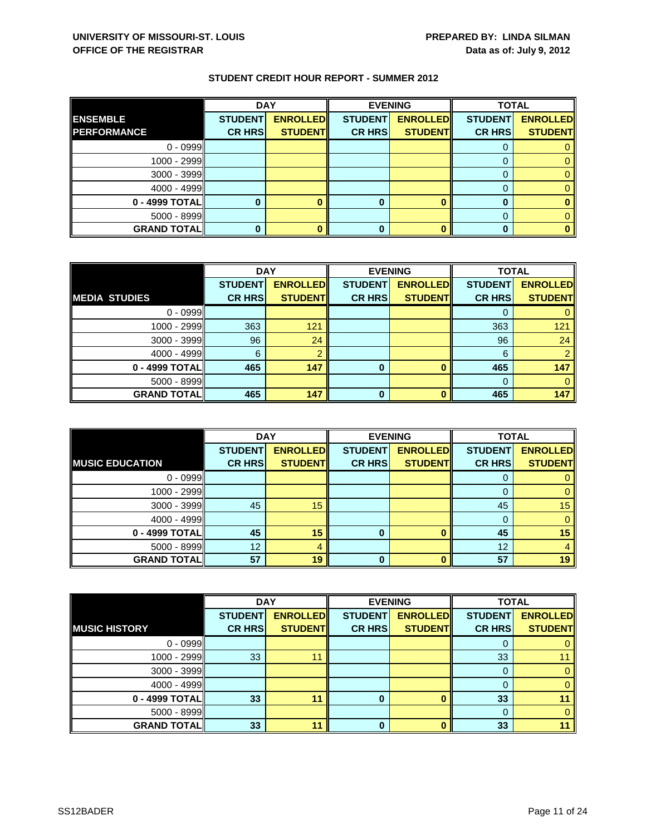|                    | <b>DAY</b>     |                 |                | <b>EVENING</b>  | <b>TOTAL</b>   |                 |
|--------------------|----------------|-----------------|----------------|-----------------|----------------|-----------------|
| <b>ENSEMBLE</b>    | <b>STUDENT</b> | <b>ENROLLED</b> | <b>STUDENT</b> | <b>ENROLLED</b> | <b>STUDENT</b> | <b>ENROLLED</b> |
| <b>PERFORMANCE</b> | <b>CR HRS</b>  | <b>STUDENT</b>  | <b>CR HRS</b>  | <b>STUDENT</b>  | <b>CR HRS</b>  | <b>STUDENT</b>  |
| $0 - 0999$         |                |                 |                |                 |                |                 |
| 1000 - 2999        |                |                 |                |                 |                |                 |
| 3000 - 3999        |                |                 |                |                 |                |                 |
| $4000 - 4999$      |                |                 |                |                 |                |                 |
| 0 - 4999 TOTAL     |                |                 |                |                 |                |                 |
| $5000 - 8999$      |                |                 |                |                 |                |                 |
| <b>GRAND TOTAL</b> |                |                 |                |                 |                |                 |

|                      | <b>DAY</b>     |                 |                | <b>EVENING</b>  |                | <b>TOTAL</b>    |  |
|----------------------|----------------|-----------------|----------------|-----------------|----------------|-----------------|--|
|                      | <b>STUDENT</b> | <b>ENROLLED</b> | <b>STUDENT</b> | <b>ENROLLED</b> | <b>STUDENT</b> | <b>ENROLLED</b> |  |
| <b>MEDIA STUDIES</b> | <b>CR HRS</b>  | <b>STUDENT</b>  | <b>CR HRS</b>  | <b>STUDENT</b>  | <b>CR HRS</b>  | <b>STUDENT</b>  |  |
| $0 - 0999$           |                |                 |                |                 |                |                 |  |
| 1000 - 2999          | 363            | 121             |                |                 | 363            | 121             |  |
| $3000 - 3999$        | 96             | 24              |                |                 | 96             | 24              |  |
| $4000 - 4999$        | 6              |                 |                |                 | 6              |                 |  |
| 0 - 4999 TOTAL       | 465            | 147             | 0              |                 | 465            | 147             |  |
| $5000 - 8999$        |                |                 |                |                 |                |                 |  |
| <b>GRAND TOTAL</b>   | 465            | 147             | O              |                 | 465            | 147             |  |

|                        | <b>DAY</b>     |                 | <b>EVENING</b> |                 | <b>TOTAL</b>   |                 |
|------------------------|----------------|-----------------|----------------|-----------------|----------------|-----------------|
|                        | <b>STUDENT</b> | <b>ENROLLED</b> | <b>STUDENT</b> | <b>ENROLLED</b> | <b>STUDENT</b> | <b>ENROLLED</b> |
| <b>MUSIC EDUCATION</b> | <b>CR HRS</b>  | <b>STUDENT</b>  | <b>CR HRS</b>  | <b>STUDENT</b>  | <b>CR HRS</b>  | <b>STUDENT</b>  |
| $0 - 0999$             |                |                 |                |                 | O              |                 |
| $1000 - 2999$          |                |                 |                |                 |                |                 |
| $3000 - 3999$          | 45             | 15              |                |                 | 45             | 15              |
| $4000 - 4999$          |                |                 |                |                 | 0              |                 |
| 0 - 4999 TOTAL         | 45             | 15              | 0              |                 | 45             | 15              |
| $5000 - 8999$          | 12             | 4               |                |                 | 12             |                 |
| <b>GRAND TOTALI</b>    | 57             | 19              | 0              |                 | 57             | 19              |

|                      | <b>DAY</b>     |                 |                | <b>EVENING</b>  |                | <b>TOTAL</b>    |  |
|----------------------|----------------|-----------------|----------------|-----------------|----------------|-----------------|--|
|                      | <b>STUDENT</b> | <b>ENROLLED</b> | <b>STUDENT</b> | <b>ENROLLED</b> | <b>STUDENT</b> | <b>ENROLLED</b> |  |
| <b>MUSIC HISTORY</b> | <b>CR HRS</b>  | <b>STUDENT</b>  | <b>CR HRS</b>  | <b>STUDENT</b>  | <b>CR HRS</b>  | <b>STUDENT</b>  |  |
| $0 - 0999$           |                |                 |                |                 | U              | 0               |  |
| 1000 - 2999          | 33             | 11              |                |                 | 33             |                 |  |
| $3000 - 3999$        |                |                 |                |                 | 0              | $\mathbf{0}$    |  |
| $4000 - 4999$        |                |                 |                |                 |                | $\mathbf{0}$    |  |
| 0 - 4999 TOTAL       | 33             | 11              | 0              |                 | 33             |                 |  |
| $5000 - 8999$        |                |                 |                |                 | $\Omega$       | $\Omega$        |  |
| <b>GRAND TOTAL</b>   | 33             | 11              | O              |                 | 33             | 11              |  |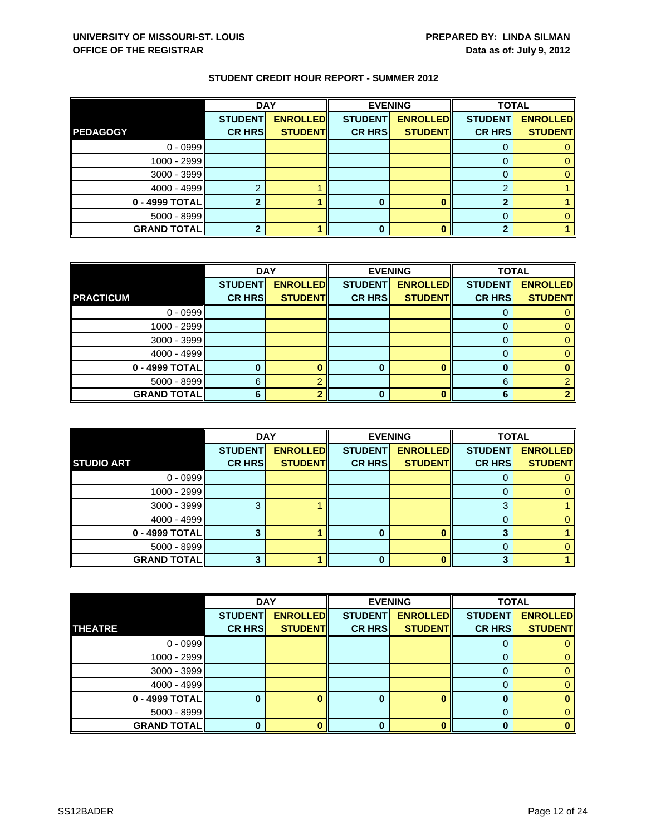|                    | <b>DAY</b>     |                 |                | <b>EVENING</b>  | <b>TOTAL</b>   |                 |
|--------------------|----------------|-----------------|----------------|-----------------|----------------|-----------------|
|                    | <b>STUDENT</b> | <b>ENROLLED</b> | <b>STUDENT</b> | <b>ENROLLED</b> | <b>STUDENT</b> | <b>ENROLLED</b> |
| <b>PEDAGOGY</b>    | <b>CR HRS</b>  | <b>STUDENT</b>  | <b>CR HRS</b>  | <b>STUDENT</b>  | <b>CR HRS</b>  | <b>STUDENT</b>  |
| $0 - 0999$         |                |                 |                |                 |                |                 |
| 1000 - 2999        |                |                 |                |                 |                |                 |
| 3000 - 3999        |                |                 |                |                 |                |                 |
| $4000 - 4999$      |                |                 |                |                 |                |                 |
| 0 - 4999 TOTAL     |                |                 |                |                 |                |                 |
| 5000 - 8999        |                |                 |                |                 |                |                 |
| <b>GRAND TOTAL</b> |                |                 |                |                 |                |                 |

|                    | <b>DAY</b>     |                 | <b>EVENING</b> |                 | <b>TOTAL</b>   |                 |
|--------------------|----------------|-----------------|----------------|-----------------|----------------|-----------------|
|                    | <b>STUDENT</b> | <b>ENROLLED</b> | <b>STUDENT</b> | <b>ENROLLED</b> | <b>STUDENT</b> | <b>ENROLLED</b> |
| <b>PRACTICUM</b>   | <b>CR HRS</b>  | <b>STUDENT</b>  | <b>CR HRS</b>  | <b>STUDENT</b>  | <b>CR HRS</b>  | <b>STUDENT</b>  |
| $0 - 0999$         |                |                 |                |                 |                |                 |
| $1000 - 2999$      |                |                 |                |                 |                |                 |
| $3000 - 3999$      |                |                 |                |                 |                |                 |
| 4000 - 4999        |                |                 |                |                 |                |                 |
| 0 - 4999 TOTAL     |                |                 | o              |                 | O              |                 |
| $5000 - 8999$      | 6              |                 |                |                 | 6              |                 |
| <b>GRAND TOTAL</b> |                |                 |                | n               | հ              |                 |

|                    | <b>DAY</b>                      |                                   |                                 | <b>EVENING</b>                    | <b>TOTAL</b>                    |                                   |
|--------------------|---------------------------------|-----------------------------------|---------------------------------|-----------------------------------|---------------------------------|-----------------------------------|
| <b>STUDIO ART</b>  | <b>STUDENT</b><br><b>CR HRS</b> | <b>ENROLLED</b><br><b>STUDENT</b> | <b>STUDENT</b><br><b>CR HRS</b> | <b>ENROLLED</b><br><b>STUDENT</b> | <b>STUDENT</b><br><b>CR HRS</b> | <b>ENROLLED</b><br><b>STUDENT</b> |
|                    |                                 |                                   |                                 |                                   |                                 |                                   |
| $0 - 0999$         |                                 |                                   |                                 |                                   | O                               |                                   |
| $1000 - 2999$      |                                 |                                   |                                 |                                   |                                 |                                   |
| $3000 - 3999$      |                                 |                                   |                                 |                                   | з                               |                                   |
| $4000 - 4999$      |                                 |                                   |                                 |                                   | $\Omega$                        |                                   |
| 0 - 4999 TOTAL     |                                 |                                   |                                 |                                   | ≏                               |                                   |
| $5000 - 8999$      |                                 |                                   |                                 |                                   |                                 |                                   |
| <b>GRAND TOTAL</b> |                                 |                                   | 0                               |                                   | 3                               |                                   |

|                    | <b>DAY</b>     |                 |                | <b>EVENING</b>  | <b>TOTAL</b>   |                 |
|--------------------|----------------|-----------------|----------------|-----------------|----------------|-----------------|
|                    | <b>STUDENT</b> | <b>ENROLLED</b> | <b>STUDENT</b> | <b>ENROLLED</b> | <b>STUDENT</b> | <b>ENROLLED</b> |
| <b>THEATRE</b>     | <b>CR HRS</b>  | <b>STUDENT</b>  | <b>CR HRS</b>  | <b>STUDENT</b>  | <b>CR HRS</b>  | <b>STUDENT</b>  |
| $0 - 0999$         |                |                 |                |                 |                |                 |
| 1000 - 2999        |                |                 |                |                 |                | 0               |
| $3000 - 3999$      |                |                 |                |                 | 0              | 0               |
| $4000 - 4999$      |                |                 |                |                 | 0              | 0               |
| 0 - 4999 TOTAL     |                |                 | 0              |                 | 0              | 0               |
| $5000 - 8999$      |                |                 |                |                 | 0              | 0               |
| <b>GRAND TOTAL</b> |                |                 | ŋ              |                 | n              | $\bf{0}$        |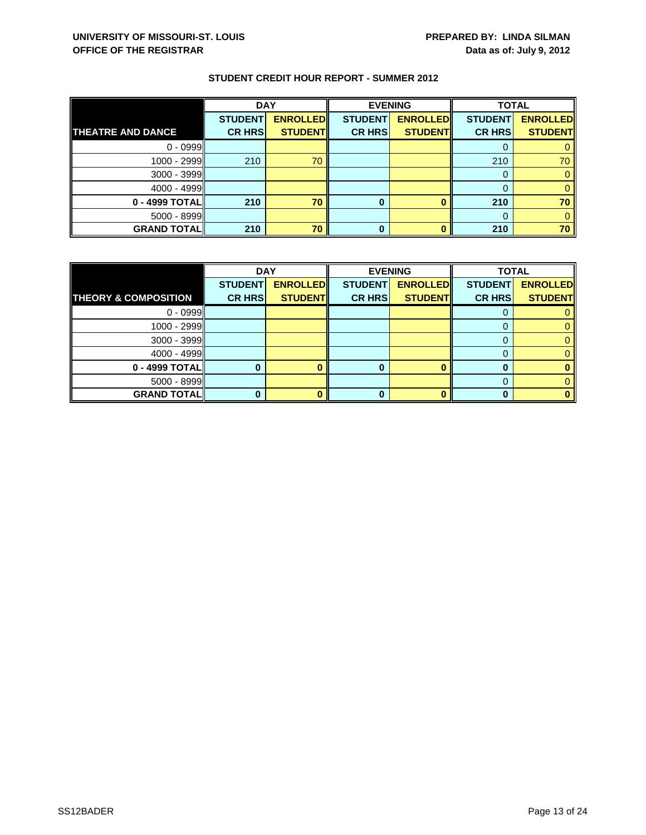|                          | <b>DAY</b>     |                 |                | <b>EVENING</b>  |                | <b>TOTAL</b>    |  |
|--------------------------|----------------|-----------------|----------------|-----------------|----------------|-----------------|--|
|                          | <b>STUDENT</b> | <b>ENROLLED</b> | <b>STUDENT</b> | <b>ENROLLED</b> | <b>STUDENT</b> | <b>ENROLLED</b> |  |
| <b>THEATRE AND DANCE</b> | <b>CR HRS</b>  | <b>STUDENT</b>  | <b>CR HRS</b>  | <b>STUDENT</b>  | <b>CR HRS</b>  | <b>STUDENT</b>  |  |
| $0 - 0999$               |                |                 |                |                 |                |                 |  |
| 1000 - 2999              | 210            | 70              |                |                 | 210            | 70              |  |
| 3000 - 3999              |                |                 |                |                 |                |                 |  |
| $4000 - 4999$            |                |                 |                |                 |                |                 |  |
| 0 - 4999 TOTAL           | 210            | 70              | 0              |                 | 210            | 70              |  |
| 5000 - 8999              |                |                 |                |                 |                |                 |  |
| <b>GRAND TOTAL</b>       | 210            | 70              | 0              |                 | 210            | 70              |  |

|                                 | <b>DAY</b>     |                 |                | <b>EVENING</b>  | <b>TOTAL</b>   |                 |
|---------------------------------|----------------|-----------------|----------------|-----------------|----------------|-----------------|
|                                 | <b>STUDENT</b> | <b>ENROLLED</b> | <b>STUDENT</b> | <b>ENROLLED</b> | <b>STUDENT</b> | <b>ENROLLED</b> |
| <b>THEORY &amp; COMPOSITION</b> | <b>CR HRS</b>  | <b>STUDENT</b>  | <b>CR HRS</b>  | <b>STUDENT</b>  | <b>CR HRS</b>  | <b>STUDENT</b>  |
| $0 - 0999$                      |                |                 |                |                 |                |                 |
| $1000 - 2999$                   |                |                 |                |                 |                |                 |
| $3000 - 3999$                   |                |                 |                |                 |                |                 |
| $4000 - 4999$                   |                |                 |                |                 |                |                 |
| 0 - 4999 TOTAL                  |                |                 | O              |                 |                |                 |
| $5000 - 8999$                   |                |                 |                |                 |                |                 |
| <b>GRAND TOTALI</b>             |                |                 |                |                 |                |                 |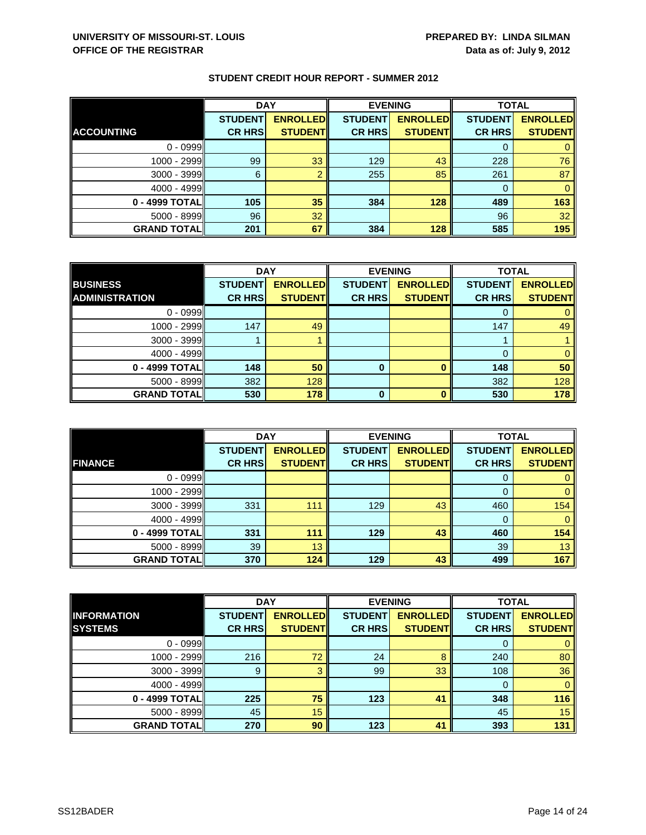|                    | <b>DAY</b>                      |                                   | <b>EVENING</b>                  |                                   | <b>TOTAL</b>                    |                                   |
|--------------------|---------------------------------|-----------------------------------|---------------------------------|-----------------------------------|---------------------------------|-----------------------------------|
| <b>ACCOUNTING</b>  | <b>STUDENT</b><br><b>CR HRS</b> | <b>ENROLLED</b><br><b>STUDENT</b> | <b>STUDENT</b><br><b>CR HRS</b> | <b>ENROLLED</b><br><b>STUDENT</b> | <b>STUDENT</b><br><b>CR HRS</b> | <b>ENROLLED</b><br><b>STUDENT</b> |
|                    |                                 |                                   |                                 |                                   |                                 |                                   |
| $0 - 0999$         |                                 |                                   |                                 |                                   |                                 |                                   |
| $1000 - 2999$      | 99                              | 33                                | 129                             | 43                                | 228                             | 76                                |
| $3000 - 3999$      | 6                               |                                   | 255                             | 85                                | 261                             | 87                                |
| $4000 - 4999$      |                                 |                                   |                                 |                                   | 0                               |                                   |
| 0 - 4999 TOTAL     | 105                             | 35                                | 384                             | 128                               | 489                             | 163                               |
| $5000 - 8999$      | 96                              | 32                                |                                 |                                   | 96                              | 32                                |
| <b>GRAND TOTAL</b> | 201                             | 67                                | 384                             | 128                               | 585                             | 195                               |

|                       | <b>DAY</b>     |                 |                | <b>EVENING</b>  | <b>TOTAL</b>   |                 |
|-----------------------|----------------|-----------------|----------------|-----------------|----------------|-----------------|
| <b>BUSINESS</b>       | <b>STUDENT</b> | <b>ENROLLED</b> | <b>STUDENT</b> | <b>ENROLLED</b> | <b>STUDENT</b> | <b>ENROLLED</b> |
| <b>ADMINISTRATION</b> | <b>CR HRS</b>  | <b>STUDENT</b>  | <b>CR HRS</b>  | <b>STUDENT</b>  | <b>CR HRS</b>  | <b>STUDENT</b>  |
| $0 - 0999$            |                |                 |                |                 |                |                 |
| $1000 - 2999$         | 147            | 49              |                |                 | 147            | 49              |
| $3000 - 3999$         |                |                 |                |                 |                |                 |
| $4000 - 4999$         |                |                 |                |                 |                |                 |
| 0 - 4999 TOTAL        | 148            | 50              | 0              |                 | 148            | 50              |
| $5000 - 8999$         | 382            | 128             |                |                 | 382            | 128             |
| <b>GRAND TOTAL</b>    | 530            | 178             | O              | n               | 530            | 178             |

|                    | <b>DAY</b>                      |                                    |                                 | <b>EVENING</b>                     | <b>TOTAL</b>                    |                                   |
|--------------------|---------------------------------|------------------------------------|---------------------------------|------------------------------------|---------------------------------|-----------------------------------|
| <b>FINANCE</b>     | <b>STUDENT</b><br><b>CR HRS</b> | <b>ENROLLED</b><br><b>STUDENTI</b> | <b>STUDENT</b><br><b>CR HRS</b> | <b>ENROLLED</b><br><b>STUDENTI</b> | <b>STUDENT</b><br><b>CR HRS</b> | <b>ENROLLED</b><br><b>STUDENT</b> |
|                    |                                 |                                    |                                 |                                    |                                 |                                   |
| $0 - 0999$         |                                 |                                    |                                 |                                    | O                               |                                   |
| 1000 - 2999        |                                 |                                    |                                 |                                    |                                 | 0                                 |
| $3000 - 3999$      | 331                             | 111                                | 129                             | 43                                 | 460                             | 154                               |
| $4000 - 4999$      |                                 |                                    |                                 |                                    | 0                               | 0                                 |
| 0 - 4999 TOTALI    | 331                             | 111                                | 129                             | 43                                 | 460                             | 154                               |
| $5000 - 8999$      | 39                              | 13                                 |                                 |                                    | 39                              | 13                                |
| <b>GRAND TOTAL</b> | 370                             | 124                                | 129                             | 43                                 | 499                             | 167                               |

|                    | <b>DAY</b>     |                 | <b>EVENING</b> |                 | <b>TOTAL</b>   |                 |
|--------------------|----------------|-----------------|----------------|-----------------|----------------|-----------------|
| <b>INFORMATION</b> | <b>STUDENT</b> | <b>ENROLLED</b> | <b>STUDENT</b> | <b>ENROLLED</b> | <b>STUDENT</b> | <b>ENROLLED</b> |
| <b>SYSTEMS</b>     | <b>CR HRS</b>  | <b>STUDENT</b>  | <b>CR HRS</b>  | <b>STUDENT</b>  | <b>CR HRS</b>  | <b>STUDENT</b>  |
| $0 - 0999$         |                |                 |                |                 |                | 0               |
| 1000 - 2999        | 216            | 72              | 24             | 8               | 240            | 80              |
| $3000 - 3999$      | 9              | 3               | 99             | 33              | 108            | 36              |
| $4000 - 4999$      |                |                 |                |                 | $\Omega$       | $\mathbf{0}$    |
| 0 - 4999 TOTAL     | 225            | 75              | 123            | 41              | 348            | 116             |
| $5000 - 8999$      | 45             | 15              |                |                 | 45             | 15              |
| <b>GRAND TOTAL</b> | 270            | 90              | 123            | 41              | 393            | 131             |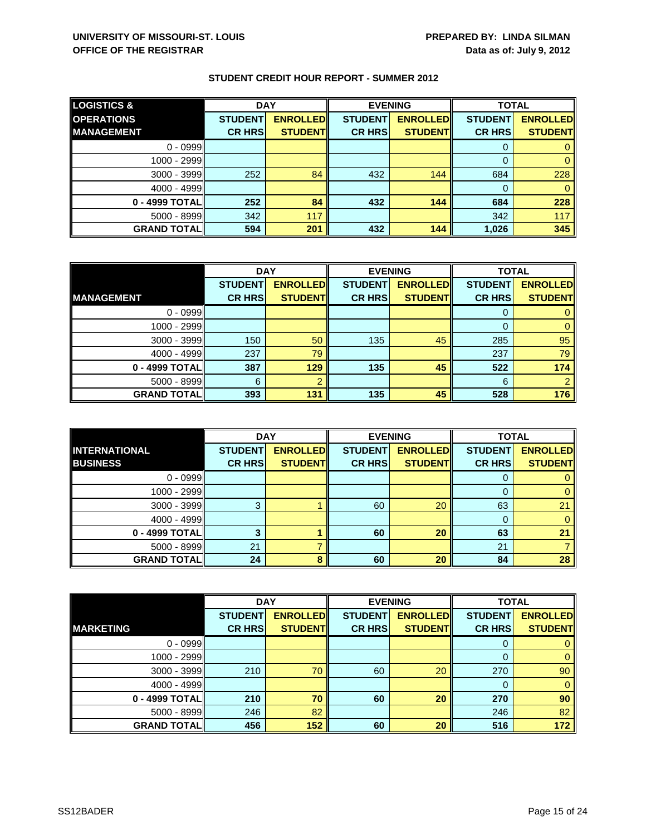| <b>LOGISTICS &amp;</b> | <b>DAY</b>     |                 | <b>EVENING</b> |                 | <b>TOTAL</b>   |                 |
|------------------------|----------------|-----------------|----------------|-----------------|----------------|-----------------|
| <b>OPERATIONS</b>      | <b>STUDENT</b> | <b>ENROLLED</b> | <b>STUDENT</b> | <b>ENROLLED</b> | <b>STUDENT</b> | <b>ENROLLED</b> |
| <b>MANAGEMENT</b>      | <b>CR HRS</b>  | <b>STUDENT</b>  | <b>CR HRS</b>  | <b>STUDENT</b>  | <b>CR HRS</b>  | <b>STUDENT</b>  |
| $0 - 0999$             |                |                 |                |                 |                |                 |
| 1000 - 2999            |                |                 |                |                 |                |                 |
| $3000 - 3999$          | 252            | 84              | 432            | 144             | 684            | 228             |
| $4000 - 4999$          |                |                 |                |                 |                |                 |
| 0 - 4999 TOTAL         | 252            | 84              | 432            | 144             | 684            | 228             |
| $5000 - 8999$          | 342            | 117             |                |                 | 342            | 117             |
| <b>GRAND TOTALI</b>    | 594            | 201             | 432            | 144             | 1,026          | 345             |

|                    | <b>DAY</b>     |                 |                | <b>EVENING</b>  |                | <b>TOTAL</b>    |  |
|--------------------|----------------|-----------------|----------------|-----------------|----------------|-----------------|--|
|                    | <b>STUDENT</b> | <b>ENROLLED</b> | <b>STUDENT</b> | <b>ENROLLED</b> | <b>STUDENT</b> | <b>ENROLLED</b> |  |
| <b>IMANAGEMENT</b> | <b>CR HRS</b>  | <b>STUDENT</b>  | <b>CR HRS</b>  | <b>STUDENT</b>  | <b>CR HRS</b>  | <b>STUDENT</b>  |  |
| $0 - 0999$         |                |                 |                |                 |                |                 |  |
| $1000 - 2999$      |                |                 |                |                 | 0              |                 |  |
| $3000 - 3999$      | 150            | 50              | 135            | 45              | 285            | 95              |  |
| $4000 - 4999$      | 237            | 79              |                |                 | 237            | 79              |  |
| 0 - 4999 TOTAL     | 387            | 129             | 135            | 45              | 522            | 174             |  |
| $5000 - 8999$      | 6              |                 |                |                 | 6              |                 |  |
| <b>GRAND TOTAL</b> | 393            | 131             | 135            | 45              | 528            | 176             |  |

|                                         | <b>DAY</b>                      |                                   |                                 | <b>EVENING</b>                    | <b>TOTAL</b>                    |                                   |
|-----------------------------------------|---------------------------------|-----------------------------------|---------------------------------|-----------------------------------|---------------------------------|-----------------------------------|
| <b>INTERNATIONAL</b><br><b>BUSINESS</b> | <b>STUDENT</b><br><b>CR HRS</b> | <b>ENROLLED</b><br><b>STUDENT</b> | <b>STUDENT</b><br><b>CR HRS</b> | <b>ENROLLED</b><br><b>STUDENT</b> | <b>STUDENT</b><br><b>CR HRS</b> | <b>ENROLLED</b><br><b>STUDENT</b> |
|                                         |                                 |                                   |                                 |                                   |                                 |                                   |
| $0 - 0999$                              |                                 |                                   |                                 |                                   | O                               |                                   |
| 1000 - 2999                             |                                 |                                   |                                 |                                   |                                 |                                   |
| $3000 - 3999$                           |                                 |                                   | 60                              | 20                                | 63                              | 21                                |
| $4000 - 4999$                           |                                 |                                   |                                 |                                   | 0                               |                                   |
| 0 - 4999 TOTAL                          |                                 |                                   | 60                              | 20                                | 63                              | 21                                |
| $5000 - 8999$                           | 21                              |                                   |                                 |                                   | 21                              |                                   |
| <b>GRAND TOTALI</b>                     | 24                              |                                   | 60                              | 20                                | 84                              | 28                                |

|                    | <b>DAY</b>     |                 | <b>EVENING</b> |                 | <b>TOTAL</b>   |                 |
|--------------------|----------------|-----------------|----------------|-----------------|----------------|-----------------|
|                    | <b>STUDENT</b> | <b>ENROLLED</b> | <b>STUDENT</b> | <b>ENROLLED</b> | <b>STUDENT</b> | <b>ENROLLED</b> |
| <b>MARKETING</b>   | <b>CR HRS</b>  | <b>STUDENT</b>  | <b>CR HRS</b>  | <b>STUDENT</b>  | <b>CR HRS</b>  | <b>STUDENT</b>  |
| $0 - 0999$         |                |                 |                |                 | 0              | $\mathbf{0}$    |
| 1000 - 2999        |                |                 |                |                 | 0              | $\mathbf{0}$    |
| 3000 - 3999        | 210            | 70              | 60             | 20              | 270            | 90              |
| $4000 - 4999$      |                |                 |                |                 | $\Omega$       | $\mathbf{0}$    |
| 0 - 4999 TOTAL     | 210            | 70              | 60             | 20              | 270            | 90              |
| 5000 - 8999        | 246            | 82              |                |                 | 246            | 82              |
| <b>GRAND TOTAL</b> | 456            | 152             | 60             | 20              | 516            | 172             |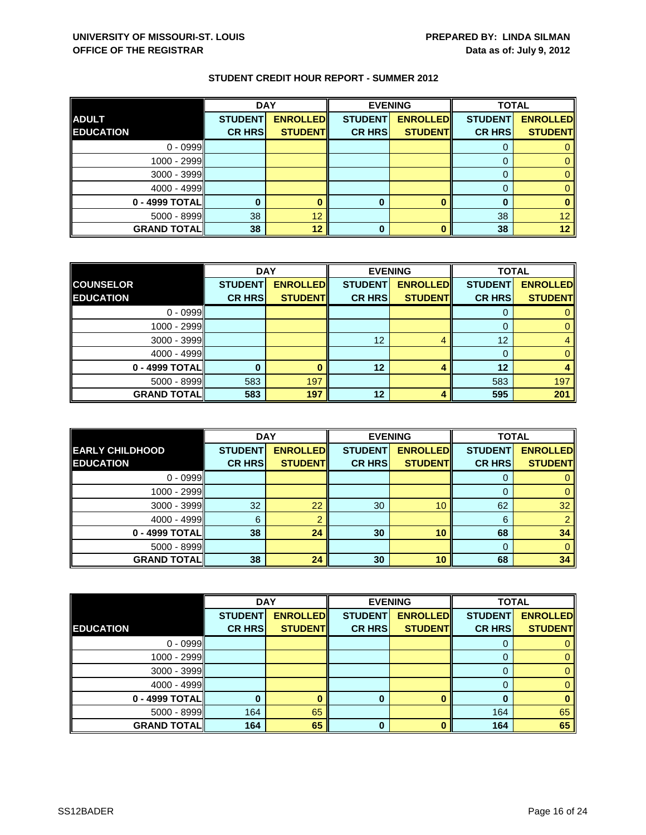|                    | <b>DAY</b>     |                 |                | <b>EVENING</b>  | <b>TOTAL</b>   |                   |
|--------------------|----------------|-----------------|----------------|-----------------|----------------|-------------------|
| <b>ADULT</b>       | <b>STUDENT</b> | <b>ENROLLED</b> | <b>STUDENT</b> | <b>ENROLLED</b> | <b>STUDENT</b> | <b>ENROLLED</b>   |
| <b>EDUCATION</b>   | <b>CR HRS</b>  | <b>STUDENT</b>  | <b>CR HRS</b>  | <b>STUDENT</b>  | <b>CR HRS</b>  | <b>STUDENT</b>    |
| $0 - 0999$         |                |                 |                |                 |                |                   |
| $1000 - 2999$      |                |                 |                |                 |                |                   |
| 3000 - 3999        |                |                 |                |                 |                |                   |
| $4000 - 4999$      |                |                 |                |                 |                |                   |
| 0 - 4999 TOTAL     |                |                 | 0              |                 | n              |                   |
| $5000 - 8999$      | 38             | 12              |                |                 | 38             | 12                |
| <b>GRAND TOTAL</b> | 38             | 12              | 0              |                 | 38             | $12 \overline{ }$ |

|                    | <b>DAY</b>     |                 |                 | <b>EVENING</b>  | <b>TOTAL</b>   |                 |
|--------------------|----------------|-----------------|-----------------|-----------------|----------------|-----------------|
| <b>COUNSELOR</b>   | <b>STUDENT</b> | <b>ENROLLED</b> | <b>STUDENT</b>  | <b>ENROLLED</b> | <b>STUDENT</b> | <b>ENROLLED</b> |
| <b>EDUCATION</b>   | <b>CR HRS</b>  | <b>STUDENT</b>  | <b>CR HRS</b>   | <b>STUDENT</b>  | <b>CR HRS</b>  | <b>STUDENT</b>  |
| $0 - 0999$         |                |                 |                 |                 |                |                 |
| $1000 - 2999$      |                |                 |                 |                 | 0              |                 |
| 3000 - 3999        |                |                 | 12 <sup>°</sup> |                 | 12             |                 |
| $4000 - 4999$      |                |                 |                 |                 |                | 0               |
| 0 - 4999 TOTAL     |                |                 | 12              |                 | 12             |                 |
| 5000 - 8999        | 583            | 197             |                 |                 | 583            | 197             |
| <b>GRAND TOTAL</b> | 583            | 197             | 12              |                 | 595            | 201             |

|                                            | <b>DAY</b>                      |                                   |                                 | <b>EVENING</b>                    | <b>TOTAL</b>                    |                                   |
|--------------------------------------------|---------------------------------|-----------------------------------|---------------------------------|-----------------------------------|---------------------------------|-----------------------------------|
| <b>EARLY CHILDHOOD</b><br><b>EDUCATION</b> | <b>STUDENT</b><br><b>CR HRS</b> | <b>ENROLLED</b><br><b>STUDENT</b> | <b>STUDENT</b><br><b>CR HRS</b> | <b>ENROLLED</b><br><b>STUDENT</b> | <b>STUDENT</b><br><b>CR HRS</b> | <b>ENROLLED</b><br><b>STUDENT</b> |
|                                            |                                 |                                   |                                 |                                   |                                 |                                   |
| $0 - 0999$                                 |                                 |                                   |                                 |                                   | O                               |                                   |
| 1000 - 2999                                |                                 |                                   |                                 |                                   |                                 |                                   |
| 3000 - 3999                                | 32                              | 22                                | 30                              | 10                                | 62                              | 32                                |
| $4000 - 4999$                              | 6                               |                                   |                                 |                                   | 6                               |                                   |
| 0 - 4999 TOTAL                             | 38                              | 24                                | 30                              | 10                                | 68                              | 34                                |
| $5000 - 8999$                              |                                 |                                   |                                 |                                   | 0                               | 0                                 |
| <b>GRAND TOTALI</b>                        | 38                              | 24                                | 30                              | 10                                | 68                              | 34                                |

|                    | <b>DAY</b>     |                 |                | <b>EVENING</b>  | <b>TOTAL</b>   |                 |
|--------------------|----------------|-----------------|----------------|-----------------|----------------|-----------------|
|                    | <b>STUDENT</b> | <b>ENROLLED</b> | <b>STUDENT</b> | <b>ENROLLED</b> | <b>STUDENT</b> | <b>ENROLLED</b> |
| <b>EDUCATION</b>   | <b>CR HRS</b>  | <b>STUDENT</b>  | <b>CR HRS</b>  | <b>STUDENT</b>  | <b>CR HRS</b>  | <b>STUDENT</b>  |
| $0 - 0999$         |                |                 |                |                 | O              | 0               |
| 1000 - 2999        |                |                 |                |                 | 0              | $\mathbf{0}$    |
| $3000 - 3999$      |                |                 |                |                 | $\Omega$       | $\mathbf{0}$    |
| $4000 - 4999$      |                |                 |                |                 | 0              | $\mathbf{0}$    |
| 0 - 4999 TOTAL     |                |                 | 0              |                 | 0              | $\bf{0}$        |
| 5000 - 8999        | 164            | 65              |                |                 | 164            | 65              |
| <b>GRAND TOTAL</b> | 164            | 65              | $\bf{0}$       | n               | 164            | 65              |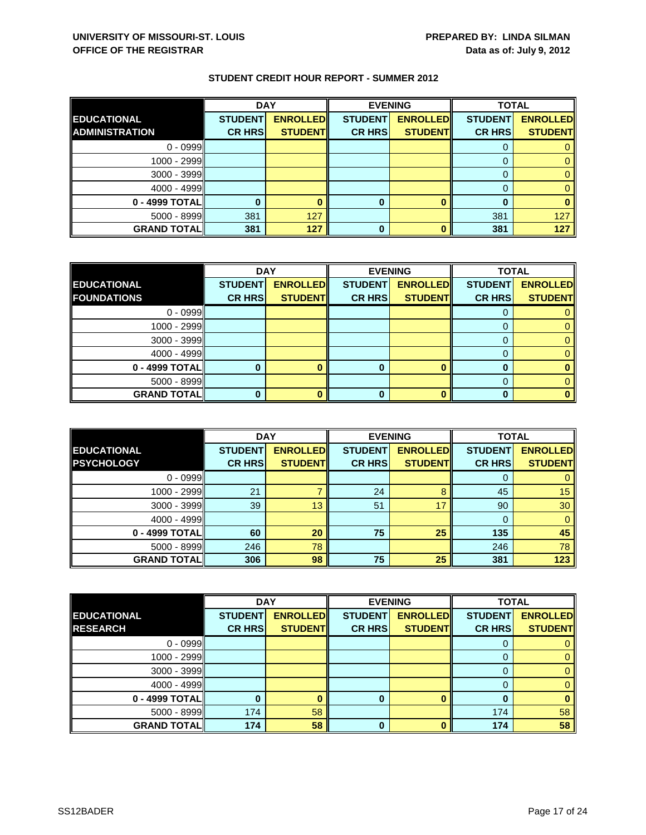|                       | <b>DAY</b>     |                 |                | <b>EVENING</b>  | <b>TOTAL</b>   |                 |
|-----------------------|----------------|-----------------|----------------|-----------------|----------------|-----------------|
| <b>EDUCATIONAL</b>    | <b>STUDENT</b> | <b>ENROLLED</b> | <b>STUDENT</b> | <b>ENROLLED</b> | <b>STUDENT</b> | <b>ENROLLED</b> |
| <b>ADMINISTRATION</b> | <b>CR HRS</b>  | <b>STUDENT</b>  | <b>CR HRS</b>  | <b>STUDENT</b>  | <b>CR HRS</b>  | <b>STUDENT</b>  |
| $0 - 0999$            |                |                 |                |                 |                |                 |
| $1000 - 2999$         |                |                 |                |                 |                |                 |
| $3000 - 3999$         |                |                 |                |                 |                |                 |
| $4000 - 4999$         |                |                 |                |                 |                |                 |
| 0 - 4999 TOTAL        |                |                 | 0              |                 |                |                 |
| 5000 - 8999           | 381            | 127             |                |                 | 381            | 127             |
| <b>GRAND TOTAL</b>    | 381            | 127             | 0              |                 | 381            | 127             |

|                     |                | <b>DAY</b><br><b>EVENING</b> |                | <b>TOTAL</b>    |                |                 |
|---------------------|----------------|------------------------------|----------------|-----------------|----------------|-----------------|
| <b>EDUCATIONAL</b>  | <b>STUDENT</b> | <b>ENROLLED</b>              | <b>STUDENT</b> | <b>ENROLLED</b> | <b>STUDENT</b> | <b>ENROLLED</b> |
| <b>FOUNDATIONS</b>  | <b>CR HRS</b>  | <b>STUDENT</b>               | <b>CR HRS</b>  | <b>STUDENT</b>  | <b>CR HRS</b>  | <b>STUDENT</b>  |
| $0 - 0999$          |                |                              |                |                 |                |                 |
| 1000 - 2999         |                |                              |                |                 |                |                 |
| $3000 - 3999$       |                |                              |                |                 |                |                 |
| $4000 - 4999$       |                |                              |                |                 |                |                 |
| 0 - 4999 TOTAL      |                |                              | O              |                 |                |                 |
| $5000 - 8999$       |                |                              |                |                 |                |                 |
| <b>GRAND TOTALI</b> |                |                              | n              |                 |                |                 |

|                                         | <b>DAY</b>                      |                                   | <b>EVENING</b>                  |                                   | <b>TOTAL</b>                    |                                   |
|-----------------------------------------|---------------------------------|-----------------------------------|---------------------------------|-----------------------------------|---------------------------------|-----------------------------------|
| <b>EDUCATIONAL</b><br><b>PSYCHOLOGY</b> | <b>STUDENT</b><br><b>CR HRS</b> | <b>ENROLLED</b><br><b>STUDENT</b> | <b>STUDENT</b><br><b>CR HRS</b> | <b>ENROLLED</b><br><b>STUDENT</b> | <b>STUDENT</b><br><b>CR HRS</b> | <b>ENROLLED</b><br><b>STUDENT</b> |
|                                         |                                 |                                   |                                 |                                   |                                 |                                   |
| $0 - 0999$                              |                                 |                                   |                                 |                                   | O                               |                                   |
| $1000 - 2999$                           | 21                              |                                   | 24                              | Զ                                 | 45                              | 15                                |
| $3000 - 3999$                           | 39                              | 13                                | 51                              | 17                                | 90                              | 30                                |
| $4000 - 4999$                           |                                 |                                   |                                 |                                   |                                 |                                   |
| 0 - 4999 TOTAL                          | 60                              | 20                                | 75                              | 25                                | 135                             | 45                                |
| $5000 - 8999$                           | 246                             | 78                                |                                 |                                   | 246                             | 78                                |
| <b>GRAND TOTALI</b>                     | 306                             | 98                                | 75                              | 25                                | 381                             | 123                               |

|                    | <b>DAY</b>     |                 |                | <b>EVENING</b>  | <b>TOTAL</b>   |                 |
|--------------------|----------------|-----------------|----------------|-----------------|----------------|-----------------|
| <b>EDUCATIONAL</b> | <b>STUDENT</b> | <b>ENROLLED</b> | <b>STUDENT</b> | <b>ENROLLED</b> | <b>STUDENT</b> | <b>ENROLLED</b> |
| <b>RESEARCH</b>    | <b>CR HRS</b>  | <b>STUDENT</b>  | <b>CR HRS</b>  | <b>STUDENT</b>  | <b>CR HRS</b>  | <b>STUDENT</b>  |
| $0 - 0999$         |                |                 |                |                 |                |                 |
| 1000 - 2999        |                |                 |                |                 |                |                 |
| $3000 - 3999$      |                |                 |                |                 | O              |                 |
| $4000 - 4999$      |                |                 |                |                 |                |                 |
| 0 - 4999 TOTAL     |                |                 | 0              |                 |                |                 |
| $5000 - 8999$      | 174            | 58              |                |                 | 174            | 58              |
| <b>GRAND TOTAL</b> | 174            | 58              | 0              |                 | 174            | 58              |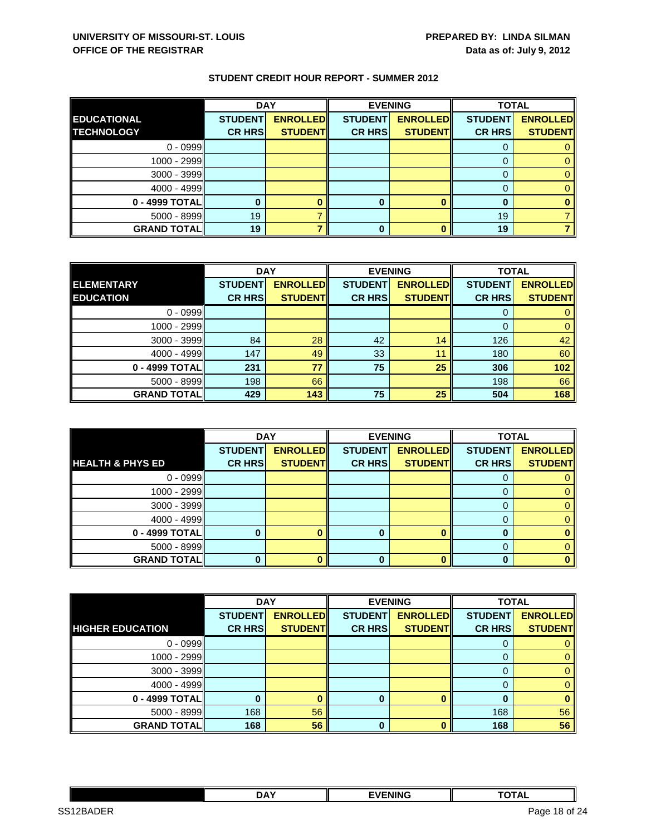|                    | <b>DAY</b>     |                 | <b>EVENING</b> |                 | <b>TOTAL</b>   |                 |
|--------------------|----------------|-----------------|----------------|-----------------|----------------|-----------------|
| <b>EDUCATIONAL</b> | <b>STUDENT</b> | <b>ENROLLED</b> | <b>STUDENT</b> | <b>ENROLLED</b> | <b>STUDENT</b> | <b>ENROLLED</b> |
| <b>TECHNOLOGY</b>  | <b>CR HRS</b>  | <b>STUDENT</b>  | <b>CR HRS</b>  | <b>STUDENT</b>  | <b>CR HRS</b>  | <b>STUDENT</b>  |
| $0 - 0999$         |                |                 |                |                 |                |                 |
| $1000 - 2999$      |                |                 |                |                 |                |                 |
| $3000 - 3999$      |                |                 |                |                 |                |                 |
| $4000 - 4999$      |                |                 |                |                 |                |                 |
| $0 - 4999$ TOTAL   |                |                 | 0              |                 |                |                 |
| $5000 - 8999$      | 19             |                 |                |                 | 19             |                 |
| <b>GRAND TOTAL</b> | 19             |                 | 0              |                 | 19             |                 |

|                    | <b>DAY</b>     |                 |                | <b>EVENING</b>  | <b>TOTAL</b>   |                 |
|--------------------|----------------|-----------------|----------------|-----------------|----------------|-----------------|
| <b>ELEMENTARY</b>  | <b>STUDENT</b> | <b>ENROLLED</b> | <b>STUDENT</b> | <b>ENROLLED</b> | <b>STUDENT</b> | <b>ENROLLED</b> |
| <b>EDUCATION</b>   | <b>CR HRS</b>  | <b>STUDENT</b>  | <b>CR HRS</b>  | <b>STUDENTI</b> | <b>CR HRS</b>  | <b>STUDENT</b>  |
| $0 - 0999$         |                |                 |                |                 |                |                 |
| $1000 - 2999$      |                |                 |                |                 | 0              |                 |
| $3000 - 3999$      | 84             | 28              | 42             | 14              | 126            | 42              |
| $4000 - 4999$      | 147            | 49              | 33             | 11              | 180            | 60              |
| 0 - 4999 TOTAL     | 231            | 77              | 75             | 25              | 306            | 102             |
| $5000 - 8999$      | 198            | 66              |                |                 | 198            | 66              |
| <b>GRAND TOTAL</b> | 429            | 143             | 75             | 25              | 504            | 168             |

|                             | <b>DAY</b>     |                 |                | <b>EVENING</b>  | <b>TOTAL</b>   |                 |
|-----------------------------|----------------|-----------------|----------------|-----------------|----------------|-----------------|
|                             | <b>STUDENT</b> | <b>ENROLLED</b> | <b>STUDENT</b> | <b>ENROLLED</b> | <b>STUDENT</b> | <b>ENROLLED</b> |
| <b>HEALTH &amp; PHYS ED</b> | <b>CR HRS</b>  | <b>STUDENT</b>  | <b>CR HRS</b>  | <b>STUDENT</b>  | <b>CR HRS</b>  | <b>STUDENT</b>  |
| $0 - 0999$                  |                |                 |                |                 | O              |                 |
| 1000 - 2999                 |                |                 |                |                 |                |                 |
| $3000 - 3999$               |                |                 |                |                 |                |                 |
| $4000 - 4999$               |                |                 |                |                 |                |                 |
| 0 - 4999 TOTAL              |                |                 |                |                 |                |                 |
| $5000 - 8999$               |                |                 |                |                 |                |                 |
| <b>GRAND TOTAL</b>          |                |                 | 0              |                 |                |                 |

|                         | <b>DAY</b>     |                 |                | <b>EVENING</b>  | <b>TOTAL</b>   |                 |
|-------------------------|----------------|-----------------|----------------|-----------------|----------------|-----------------|
|                         | <b>STUDENT</b> | <b>ENROLLED</b> | <b>STUDENT</b> | <b>ENROLLED</b> | <b>STUDENT</b> | <b>ENROLLED</b> |
| <b>HIGHER EDUCATION</b> | <b>CR HRS</b>  | <b>STUDENT</b>  | <b>CR HRS</b>  | <b>STUDENT</b>  | <b>CR HRS</b>  | <b>STUDENT</b>  |
| $0 - 0999$              |                |                 |                |                 |                |                 |
| 1000 - 2999             |                |                 |                |                 | 0              | 0               |
| $3000 - 3999$           |                |                 |                |                 | 0              | 0               |
| $4000 - 4999$           |                |                 |                |                 |                | $\mathbf{0}$    |
| 0 - 4999 TOTAL          |                |                 | 0              |                 |                | 0               |
| $5000 - 8999$           | 168            | 56              |                |                 | 168            | 56              |
| <b>GRAND TOTAL</b>      | 168            | 56              | $\bf{0}$       |                 | 168            | 56              |

|                                       | <b>DAY</b> | <b>FVENING</b> | $\cdots$<br><u>ль</u> |            |
|---------------------------------------|------------|----------------|-----------------------|------------|
| SS <sub>1</sub><br><b>IDER</b><br>ורי |            |                | Page<br>1.X.          | of 24<br>- |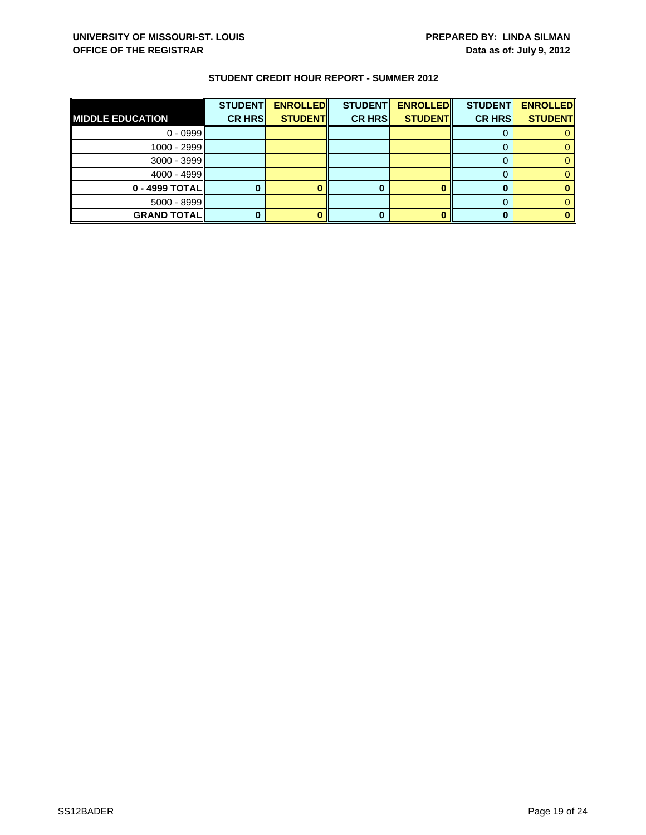|                         | <b>STUDENT</b> | <b>ENROLLED</b> | <b>STUDENT</b> | <b>ENROLLED</b> | <b>STUDENT</b> | <b>ENROLLED</b> |
|-------------------------|----------------|-----------------|----------------|-----------------|----------------|-----------------|
| <b>MIDDLE EDUCATION</b> | <b>CR HRS</b>  | <b>STUDENT</b>  | <b>CR HRS</b>  | <b>STUDENT</b>  | <b>CR HRS</b>  | <b>STUDENT</b>  |
| $0 - 0999$              |                |                 |                |                 |                |                 |
| 1000 - 2999             |                |                 |                |                 |                |                 |
| 3000 - 3999             |                |                 |                |                 |                |                 |
| $4000 - 4999$           |                |                 |                |                 |                |                 |
| 0 - 4999 TOTAL          |                |                 |                |                 |                |                 |
| $5000 - 8999$           |                |                 |                |                 |                |                 |
| <b>GRAND TOTALI</b>     |                |                 |                |                 |                |                 |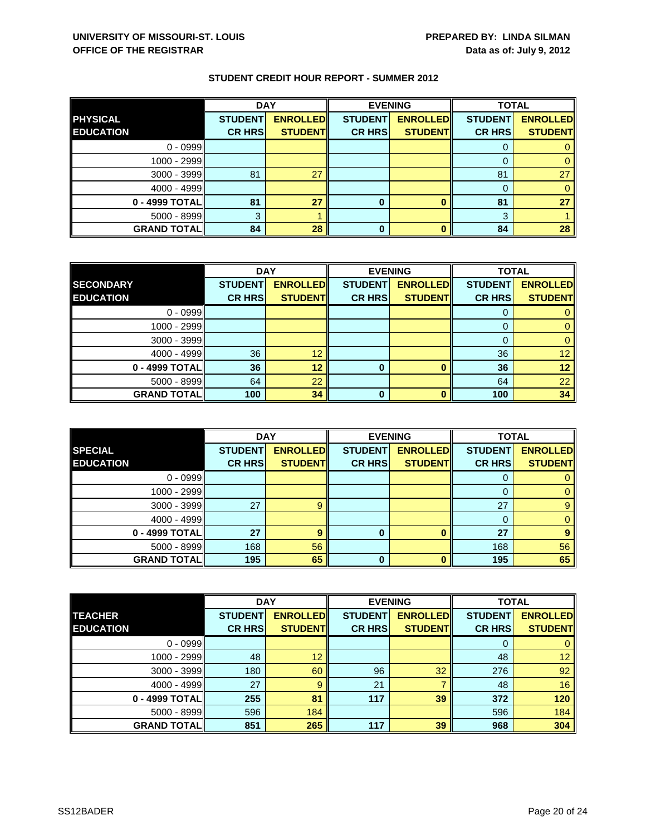|                    | <b>DAY</b>     |                 |                | <b>EVENING</b>  | <b>TOTAL</b>   |                 |
|--------------------|----------------|-----------------|----------------|-----------------|----------------|-----------------|
| <b>PHYSICAL</b>    | <b>STUDENT</b> | <b>ENROLLED</b> | <b>STUDENT</b> | <b>ENROLLED</b> | <b>STUDENT</b> | <b>ENROLLED</b> |
| <b>EDUCATION</b>   | <b>CR HRS</b>  | <b>STUDENT</b>  | <b>CR HRS</b>  | <b>STUDENT</b>  | <b>CR HRS</b>  | <b>STUDENT</b>  |
| $0 - 0999$         |                |                 |                |                 |                |                 |
| $1000 - 2999$      |                |                 |                |                 |                |                 |
| 3000 - 3999        | 81             | 27              |                |                 | 81             | 27              |
| $4000 - 4999$      |                |                 |                |                 | $\Omega$       |                 |
| 0 - 4999 TOTAL     | 81             | 27              | 0              |                 | 81             | 27              |
| 5000 - 8999        | 3              |                 |                |                 | 3              |                 |
| <b>GRAND TOTAL</b> | 84             | 28              | $\bf{0}$       |                 | 84             | 28              |

|                    | <b>DAY</b>     |                 | <b>EVENING</b> |                 | <b>TOTAL</b>   |                 |
|--------------------|----------------|-----------------|----------------|-----------------|----------------|-----------------|
| <b>SECONDARY</b>   | <b>STUDENT</b> | <b>ENROLLED</b> | <b>STUDENT</b> | <b>ENROLLED</b> | <b>STUDENT</b> | <b>ENROLLED</b> |
| <b>EDUCATION</b>   | <b>CR HRS</b>  | <b>STUDENT</b>  | <b>CR HRS</b>  | <b>STUDENT</b>  | <b>CR HRS</b>  | <b>STUDENT</b>  |
| $0 - 0999$         |                |                 |                |                 |                |                 |
| $1000 - 2999$      |                |                 |                |                 | O              |                 |
| $3000 - 3999$      |                |                 |                |                 |                |                 |
| $4000 - 4999$      | 36             | 12              |                |                 | 36             | 12              |
| 0 - 4999 TOTAL     | 36             | 12              | 0              |                 | 36             | 12 <sup>°</sup> |
| $5000 - 8999$      | 64             | 22              |                |                 | 64             | 22              |
| <b>GRAND TOTAL</b> | 100            | 34              | $\bf{0}$       |                 | 100            | 34              |

|                    | <b>DAY</b>     |                 | <b>EVENING</b> |                 | <b>TOTAL</b>   |                 |
|--------------------|----------------|-----------------|----------------|-----------------|----------------|-----------------|
| <b>SPECIAL</b>     | <b>STUDENT</b> | <b>ENROLLED</b> | <b>STUDENT</b> | <b>ENROLLED</b> | <b>STUDENT</b> | <b>ENROLLED</b> |
| <b>EDUCATION</b>   | <b>CR HRS</b>  | <b>STUDENT</b>  | <b>CR HRS</b>  | <b>STUDENT</b>  | <b>CR HRS</b>  | <b>STUDENT</b>  |
| $0 - 0999$         |                |                 |                |                 | υ              |                 |
| $1000 - 2999$      |                |                 |                |                 |                |                 |
| $3000 - 3999$      | 27             |                 |                |                 | 27             |                 |
| $4000 - 4999$      |                |                 |                |                 |                |                 |
| 0 - 4999 TOTAL     | 27             | 9               | 0              |                 | 27             | 9               |
| $5000 - 8999$      | 168            | 56              |                |                 | 168            | 56              |
| <b>GRAND TOTAL</b> | 195            | 65              | $\bf{0}$       |                 | 195            | 65              |

|                    | <b>DAY</b>     |                 |                | <b>EVENING</b>  | <b>TOTAL</b>   |                 |
|--------------------|----------------|-----------------|----------------|-----------------|----------------|-----------------|
| <b>TEACHER</b>     | <b>STUDENT</b> | <b>ENROLLED</b> | <b>STUDENT</b> | <b>ENROLLED</b> | <b>STUDENT</b> | <b>ENROLLED</b> |
| <b>EDUCATION</b>   | <b>CR HRS</b>  | <b>STUDENTI</b> | <b>CR HRS</b>  | <b>STUDENT</b>  | <b>CR HRS</b>  | <b>STUDENT</b>  |
| $0 - 0999$         |                |                 |                |                 | 0              | 0               |
| 1000 - 2999        | 48             | 12              |                |                 | 48             | 12 <sup>7</sup> |
| $3000 - 3999$      | 180            | 60              | 96             | 32              | 276            | 92              |
| $4000 - 4999$      | 27             | 9               | 21             |                 | 48             | 16              |
| 0 - 4999 TOTAL     | 255            | 81              | 117            | 39              | 372            | 120             |
| $5000 - 8999$      | 596            | 184             |                |                 | 596            | 184             |
| <b>GRAND TOTAL</b> | 851            | 265             | 117            | 39              | 968            | 304             |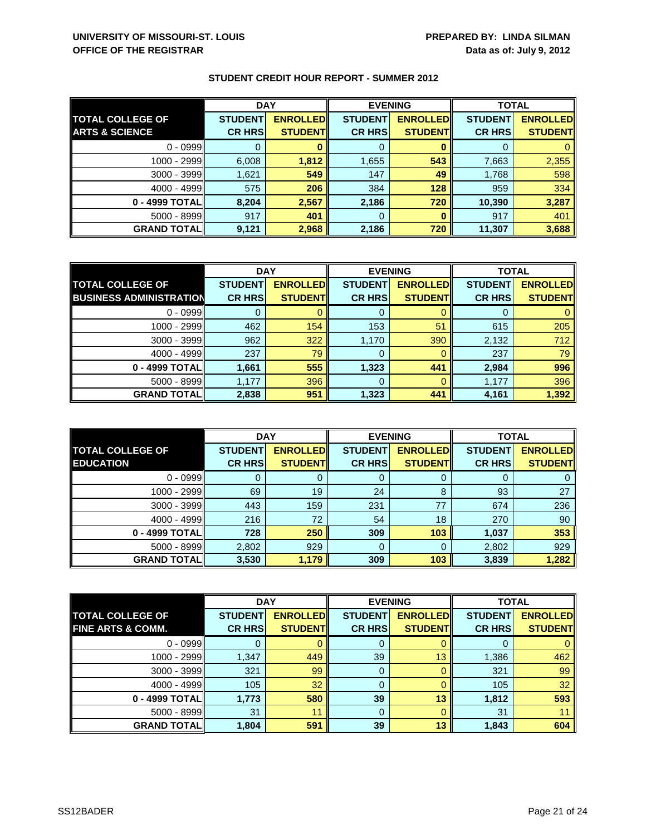|                           | <b>DAY</b>     |                 | <b>EVENING</b> |                 | <b>TOTAL</b>   |                 |
|---------------------------|----------------|-----------------|----------------|-----------------|----------------|-----------------|
| <b>TOTAL COLLEGE OF</b>   | <b>STUDENT</b> | <b>ENROLLED</b> | <b>STUDENT</b> | <b>ENROLLED</b> | <b>STUDENT</b> | <b>ENROLLED</b> |
| <b>ARTS &amp; SCIENCE</b> | <b>CR HRS</b>  | <b>STUDENT</b>  | <b>CR HRS</b>  | <b>STUDENT</b>  | <b>CR HRS</b>  | <b>STUDENT</b>  |
| $0 - 0999$                |                |                 |                |                 |                |                 |
| 1000 - 2999               | 6,008          | 1,812           | 1,655          | 543             | 7,663          | 2,355           |
| $3000 - 3999$             | 1,621          | 549             | 147            | 49              | 1,768          | 598             |
| $4000 - 4999$             | 575            | 206             | 384            | 128             | 959            | 334             |
| 0 - 4999 TOTAL            | 8,204          | 2,567           | 2,186          | 720             | 10,390         | 3,287           |
| $5000 - 8999$             | 917            | 401             | 0              |                 | 917            | 401             |
| <b>GRAND TOTAL</b>        | 9,121          | 2,968           | 2,186          | 720             | 11,307         | 3,688           |

|                                | <b>DAY</b>     |                  | <b>EVENING</b> |                 | <b>TOTAL</b>   |                 |
|--------------------------------|----------------|------------------|----------------|-----------------|----------------|-----------------|
| <b>TOTAL COLLEGE OF</b>        | <b>STUDENT</b> | <b>ENROLLEDI</b> | <b>STUDENT</b> | <b>ENROLLED</b> | <b>STUDENT</b> | <b>ENROLLED</b> |
| <b>BUSINESS ADMINISTRATION</b> | <b>CR HRS</b>  | <b>STUDENT</b>   | <b>CR HRS</b>  | <b>STUDENT</b>  | <b>CR HRS</b>  | <b>STUDENT</b>  |
| $0 - 0999$                     |                |                  | O              |                 |                |                 |
| 1000 - 2999                    | 462            | 154              | 153            | 51              | 615            | 205             |
| $3000 - 3999$                  | 962            | 322              | 1,170          | 390             | 2,132          | 712             |
| $4000 - 4999$                  | 237            | 79               | 0              | 0               | 237            | 79              |
| 0 - 4999 TOTALI                | 1,661          | 555              | 1,323          | 441             | 2,984          | 996             |
| $5000 - 8999$                  | 1,177          | 396              | 0              |                 | 1,177          | 396             |
| <b>GRAND TOTAL</b>             | 2,838          | 951              | 1,323          | 441             | 4,161          | 1,392           |

|                                             | <b>DAY</b>                      |                                    | <b>EVENING</b>                  |                                   | <b>TOTAL</b>                    |                                   |
|---------------------------------------------|---------------------------------|------------------------------------|---------------------------------|-----------------------------------|---------------------------------|-----------------------------------|
| <b>TOTAL COLLEGE OF</b><br><b>EDUCATION</b> | <b>STUDENT</b><br><b>CR HRS</b> | <b>ENROLLED</b><br><b>STUDENTI</b> | <b>STUDENT</b><br><b>CR HRS</b> | <b>ENROLLED</b><br><b>STUDENT</b> | <b>STUDENT</b><br><b>CR HRS</b> | <b>ENROLLED</b><br><b>STUDENT</b> |
| $0 - 0999$                                  |                                 |                                    | O                               |                                   |                                 |                                   |
| 1000 - 2999                                 | 69                              | 19                                 | 24                              | 8                                 | 93                              | 27                                |
| $3000 - 3999$                               | 443                             | 159                                | 231                             | 77                                | 674                             | 236                               |
| $4000 - 4999$                               | 216                             | 72                                 | 54                              | 18                                | 270                             | 90                                |
| 0 - 4999 TOTALI                             | 728                             | 250                                | 309                             | 103                               | 1,037                           | 353                               |
| $5000 - 8999$                               | 2,802                           | 929                                | 0                               |                                   | 2,802                           | 929                               |
| <b>GRAND TOTAL</b>                          | 3,530                           | 1,179                              | 309                             | 103                               | 3,839                           | 1,282                             |

|                              | <b>DAY</b>     |                 | <b>EVENING</b> |                 | <b>TOTAL</b>   |                 |
|------------------------------|----------------|-----------------|----------------|-----------------|----------------|-----------------|
| <b>TOTAL COLLEGE OF</b>      | <b>STUDENT</b> | <b>ENROLLED</b> | <b>STUDENT</b> | <b>ENROLLED</b> | <b>STUDENT</b> | <b>ENROLLED</b> |
| <b>FINE ARTS &amp; COMM.</b> | <b>CR HRS</b>  | <b>STUDENT</b>  | <b>CR HRS</b>  | <b>STUDENT</b>  | <b>CR HRS</b>  | <b>STUDENT</b>  |
| $0 - 0999$                   |                |                 | 0              |                 | O              | 0               |
| 1000 - 2999                  | 1,347          | 449             | 39             | 13              | 1,386          | 462             |
| 3000 - 3999                  | 321            | 99              | 0              |                 | 321            | 99              |
| $4000 - 4999$                | 105            | 32              | 0              |                 | 105            | 32 <sup>°</sup> |
| 0 - 4999 TOTAL               | 1,773          | 580             | 39             | 13              | 1,812          | 593             |
| 5000 - 8999                  | 31             | 11              | $\Omega$       |                 | 31             | 11              |
| <b>GRAND TOTAL</b>           | 1,804          | 591             | 39             | 13              | 1,843          | 604             |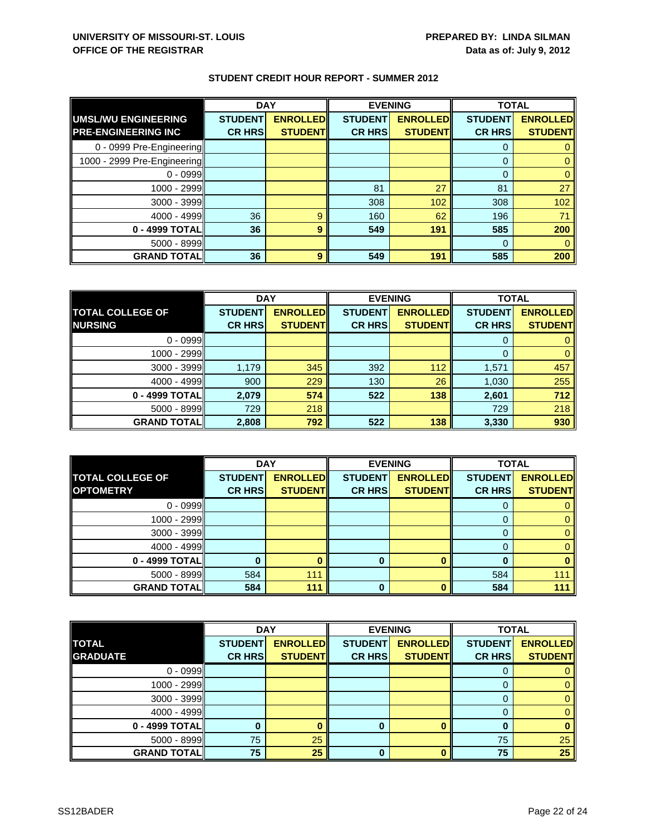|                                                          | <b>DAY</b>                      |                                   | <b>EVENING</b>                  |                                    |                                 | <b>TOTAL</b>                      |  |
|----------------------------------------------------------|---------------------------------|-----------------------------------|---------------------------------|------------------------------------|---------------------------------|-----------------------------------|--|
| <b>UMSL/WU ENGINEERING</b><br><b>PRE-ENGINEERING INC</b> | <b>STUDENT</b><br><b>CR HRS</b> | <b>ENROLLED</b><br><b>STUDENT</b> | <b>STUDENT</b><br><b>CR HRS</b> | <b>ENROLLED</b><br><b>STUDENTI</b> | <b>STUDENT</b><br><b>CR HRS</b> | <b>ENROLLED</b><br><b>STUDENT</b> |  |
| 0 - 0999 Pre-Engineering                                 |                                 |                                   |                                 |                                    | 0                               |                                   |  |
| 1000 - 2999 Pre-Engineering                              |                                 |                                   |                                 |                                    | $\Omega$                        |                                   |  |
| $0 - 0999$                                               |                                 |                                   |                                 |                                    | 0                               |                                   |  |
| 1000 - 2999                                              |                                 |                                   | 81                              | 27                                 | 81                              | 27                                |  |
| $3000 - 3999$                                            |                                 |                                   | 308                             | 102                                | 308                             | 102                               |  |
| $4000 - 4999$                                            | 36                              | 9                                 | 160                             | 62                                 | 196                             | 71                                |  |
| 0 - 4999 TOTAL                                           | 36                              | 9                                 | 549                             | 191                                | 585                             | 200                               |  |
| $5000 - 8999$                                            |                                 |                                   |                                 |                                    | $\Omega$                        |                                   |  |
| <b>GRAND TOTAL</b>                                       | 36                              | 9                                 | 549                             | 191                                | 585                             | 200                               |  |

|                         | <b>DAY</b>     |                 | <b>EVENING</b> |                 | <b>TOTAL</b>   |                 |
|-------------------------|----------------|-----------------|----------------|-----------------|----------------|-----------------|
| <b>TOTAL COLLEGE OF</b> | <b>STUDENT</b> | <b>ENROLLED</b> | <b>STUDENT</b> | <b>ENROLLED</b> | <b>STUDENT</b> | <b>ENROLLED</b> |
| <b>NURSING</b>          | <b>CR HRS</b>  | <b>STUDENT</b>  | <b>CR HRS</b>  | <b>STUDENT</b>  | <b>CR HRS</b>  | <b>STUDENT</b>  |
| $0 - 0999$              |                |                 |                |                 |                |                 |
| 1000 - 2999             |                |                 |                |                 |                |                 |
| $3000 - 3999$           | 1,179          | 345             | 392            | 112             | 1,571          | 457             |
| $4000 - 4999$           | 900            | 229             | 130            | 26              | 1,030          | 255             |
| 0 - 4999 TOTAL          | 2,079          | 574             | 522            | 138             | 2,601          | 712             |
| 5000 - 8999             | 729            | 218             |                |                 | 729            | 218             |
| <b>GRAND TOTAL</b>      | 2,808          | 792             | 522            | 138             | 3,330          | 930             |

|                         | <b>DAY</b>     |                 | <b>EVENING</b> |                 | <b>TOTAL</b>   |                 |
|-------------------------|----------------|-----------------|----------------|-----------------|----------------|-----------------|
| <b>TOTAL COLLEGE OF</b> | <b>STUDENT</b> | <b>ENROLLED</b> | <b>STUDENT</b> | <b>ENROLLED</b> | <b>STUDENT</b> | <b>ENROLLED</b> |
| <b>OPTOMETRY</b>        | <b>CR HRS</b>  | <b>STUDENT</b>  | <b>CR HRS</b>  | <b>STUDENT</b>  | <b>CR HRS</b>  | <b>STUDENT</b>  |
| $0 - 0999$              |                |                 |                |                 |                |                 |
| 1000 - 2999             |                |                 |                |                 |                |                 |
| 3000 - 3999             |                |                 |                |                 |                |                 |
| $4000 - 4999$           |                |                 |                |                 |                |                 |
| 0 - 4999 TOTAL          |                |                 | 0              |                 |                |                 |
| 5000 - 8999             | 584            | 111             |                |                 | 584            | $11^{\circ}$    |
| <b>GRAND TOTAL</b>      | 584            | 111             | 0              |                 | 584            | 111             |

|                    | <b>DAY</b>     |                 | <b>EVENING</b> |                 | <b>TOTAL</b>   |                 |
|--------------------|----------------|-----------------|----------------|-----------------|----------------|-----------------|
| <b>TOTAL</b>       | <b>STUDENT</b> | <b>ENROLLED</b> | <b>STUDENT</b> | <b>ENROLLED</b> | <b>STUDENT</b> | <b>ENROLLED</b> |
| <b>GRADUATE</b>    | <b>CR HRS</b>  | <b>STUDENTI</b> | <b>CR HRS</b>  | <b>STUDENT</b>  | <b>CR HRS</b>  | <b>STUDENT</b>  |
| $0 - 0999$         |                |                 |                |                 |                |                 |
| 1000 - 2999        |                |                 |                |                 |                |                 |
| 3000 - 3999        |                |                 |                |                 |                |                 |
| $4000 - 4999$      |                |                 |                |                 |                |                 |
| 0 - 4999 TOTAL     | 0              |                 | 0              |                 |                |                 |
| 5000 - 8999        | 75             | 25              |                |                 | 75             | 25              |
| <b>GRAND TOTAL</b> | 75             | 25              | 0              |                 | 75             | 25              |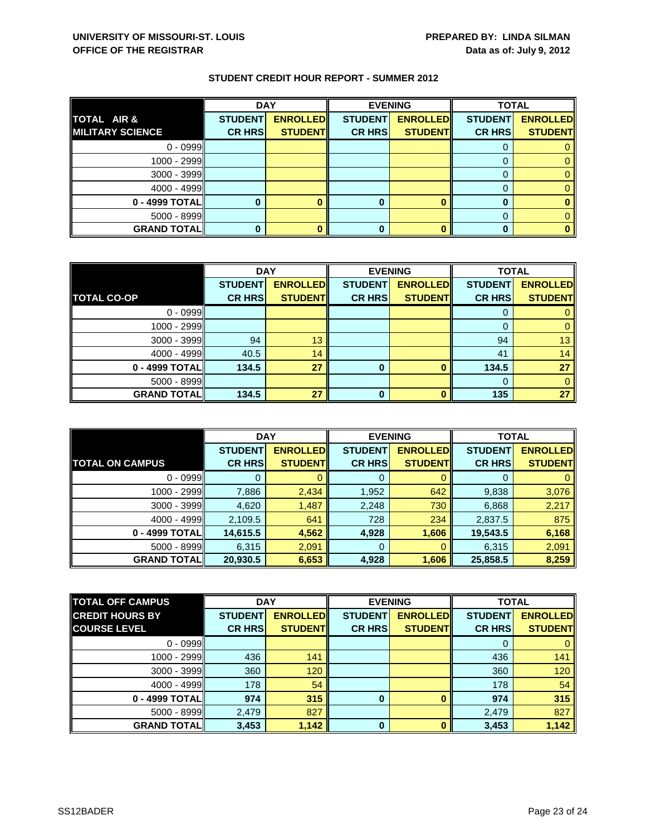|                         | <b>DAY</b>     |                 | <b>EVENING</b> |                 | <b>TOTAL</b>   |                 |
|-------------------------|----------------|-----------------|----------------|-----------------|----------------|-----------------|
| TOTAL AIR &             | <b>STUDENT</b> | <b>ENROLLED</b> | <b>STUDENT</b> | <b>ENROLLED</b> | <b>STUDENT</b> | <b>ENROLLED</b> |
| <b>MILITARY SCIENCE</b> | <b>CR HRS</b>  | <b>STUDENT</b>  | <b>CR HRS</b>  | <b>STUDENT</b>  | <b>CR HRS</b>  | <b>STUDENT</b>  |
| $0 - 0999$              |                |                 |                |                 |                |                 |
| 1000 - 2999             |                |                 |                |                 |                |                 |
| 3000 - 3999             |                |                 |                |                 |                |                 |
| $4000 - 4999$           |                |                 |                |                 |                |                 |
| 0 - 4999 TOTAL          |                |                 |                |                 |                |                 |
| 5000 - 8999             |                |                 |                |                 |                |                 |
| <b>GRAND TOTALI</b>     |                |                 |                |                 |                |                 |

|                    | <b>DAY</b>     |                  | <b>EVENING</b> |                 | <b>TOTAL</b>   |                 |
|--------------------|----------------|------------------|----------------|-----------------|----------------|-----------------|
|                    | <b>STUDENT</b> | <b>ENROLLEDI</b> | <b>STUDENT</b> | <b>ENROLLED</b> | <b>STUDENT</b> | <b>ENROLLED</b> |
| <b>TOTAL CO-OP</b> | <b>CR HRS</b>  | <b>STUDENT</b>   | <b>CR HRS</b>  | <b>STUDENT</b>  | <b>CR HRS</b>  | <b>STUDENT</b>  |
| $0 - 0999$         |                |                  |                |                 |                |                 |
| $1000 - 2999$      |                |                  |                |                 | 0              |                 |
| $3000 - 3999$      | 94             | 13               |                |                 | 94             | 13 <sup>2</sup> |
| $4000 - 4999$      | 40.5           | 14               |                |                 | 41             | 14              |
| 0 - 4999 TOTAL     | 134.5          | 27               | 0              |                 | 134.5          | 27              |
| $5000 - 8999$      |                |                  |                |                 |                |                 |
| <b>GRAND TOTAL</b> | 134.5          | 27               | O              |                 | 135            | 27              |

|                        | <b>DAY</b>     |                  | <b>EVENING</b> |                 | <b>TOTAL</b>   |                 |
|------------------------|----------------|------------------|----------------|-----------------|----------------|-----------------|
|                        | <b>STUDENT</b> | <b>ENROLLEDI</b> | <b>STUDENT</b> | <b>ENROLLED</b> | <b>STUDENT</b> | <b>ENROLLED</b> |
| <b>TOTAL ON CAMPUS</b> | <b>CR HRS</b>  | <b>STUDENT</b>   | <b>CR HRS</b>  | <b>STUDENT</b>  | <b>CR HRS</b>  | <b>STUDENT</b>  |
| $0 - 0999$             |                |                  | 0              |                 | O              |                 |
| 1000 - 2999            | 7,886          | 2,434            | 1,952          | 642             | 9,838          | 3,076           |
| $3000 - 3999$          | 4,620          | 1,487            | 2,248          | 730             | 6,868          | 2,217           |
| $4000 - 4999$          | 2,109.5        | 641              | 728            | 234             | 2,837.5        | 875             |
| 0 - 4999 TOTAL         | 14,615.5       | 4,562            | 4,928          | 1,606           | 19,543.5       | 6,168           |
| $5000 - 8999$          | 6,315          | 2,091            | 0              |                 | 6,315          | 2,091           |
| <b>GRAND TOTALI</b>    | 20,930.5       | 6,653            | 4,928          | 1,606           | 25,858.5       | 8,259           |

| <b>TOTAL OFF CAMPUS</b> | <b>DAY</b><br><b>EVENING</b> |                 | <b>TOTAL</b>   |                 |                |                 |
|-------------------------|------------------------------|-----------------|----------------|-----------------|----------------|-----------------|
| <b>CREDIT HOURS BY</b>  | <b>STUDENT</b>               | <b>ENROLLED</b> | <b>STUDENT</b> | <b>ENROLLED</b> | <b>STUDENT</b> | <b>ENROLLED</b> |
| <b>COURSE LEVEL</b>     | <b>CR HRS</b>                | <b>STUDENTI</b> | <b>CR HRS</b>  | <b>STUDENT</b>  | <b>CR HRS</b>  | <b>STUDENT</b>  |
| $0 - 0999$              |                              |                 |                |                 |                |                 |
| 1000 - 2999II           | 436                          | 141             |                |                 | 436            | 141             |
| $3000 - 3999$           | 360                          | 120             |                |                 | 360            | 120             |
| $4000 - 4999$           | 178                          | 54              |                |                 | 178            | 54              |
| 0 - 4999 TOTAL          | 974                          | 315             | $\bf{0}$       |                 | 974            | 315             |
| $5000 - 8999$           | 2,479                        | 827             |                |                 | 2,479          | 827             |
| <b>GRAND TOTAL</b>      | 3,453                        | 1,142           | $\bf{0}$       |                 | 3,453          | 1,142           |